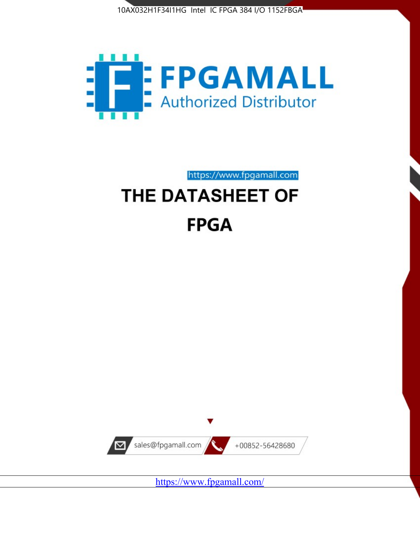



https://www.fpgamall.com

# THE DATASHEET OF **FPGA**



<https://www.fpgamall.com/>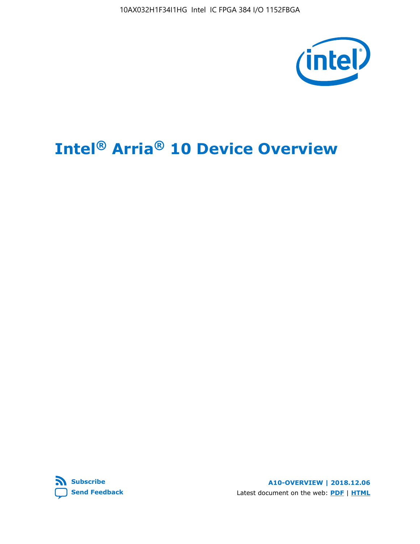10AX032H1F34I1HG Intel IC FPGA 384 I/O 1152FBGA



# **Intel® Arria® 10 Device Overview**



**A10-OVERVIEW | 2018.12.06** Latest document on the web: **[PDF](https://www.intel.com/content/dam/www/programmable/us/en/pdfs/literature/hb/arria-10/a10_overview.pdf)** | **[HTML](https://www.intel.com/content/www/us/en/programmable/documentation/sam1403480274650.html)**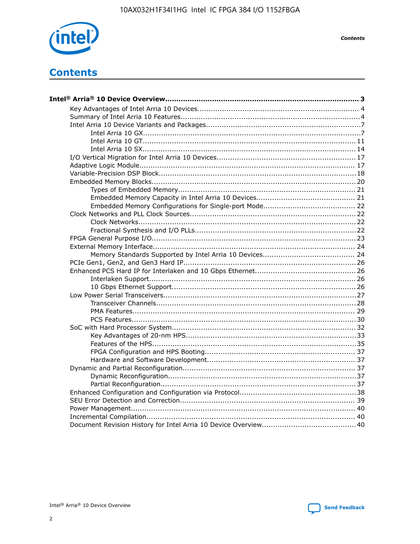

**Contents** 

# **Contents**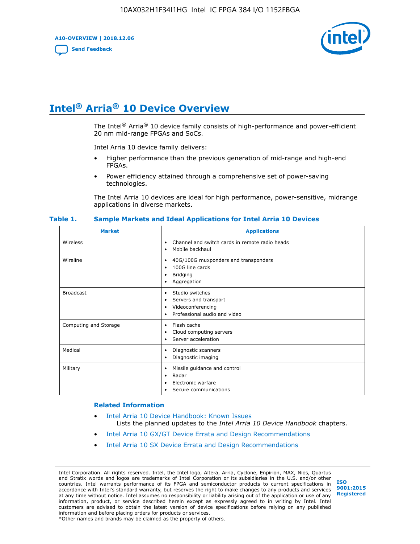**A10-OVERVIEW | 2018.12.06**

**[Send Feedback](mailto:FPGAtechdocfeedback@intel.com?subject=Feedback%20on%20Intel%20Arria%2010%20Device%20Overview%20(A10-OVERVIEW%202018.12.06)&body=We%20appreciate%20your%20feedback.%20In%20your%20comments,%20also%20specify%20the%20page%20number%20or%20paragraph.%20Thank%20you.)**



# **Intel® Arria® 10 Device Overview**

The Intel<sup>®</sup> Arria<sup>®</sup> 10 device family consists of high-performance and power-efficient 20 nm mid-range FPGAs and SoCs.

Intel Arria 10 device family delivers:

- Higher performance than the previous generation of mid-range and high-end FPGAs.
- Power efficiency attained through a comprehensive set of power-saving technologies.

The Intel Arria 10 devices are ideal for high performance, power-sensitive, midrange applications in diverse markets.

| <b>Market</b>         | <b>Applications</b>                                                                                               |
|-----------------------|-------------------------------------------------------------------------------------------------------------------|
| Wireless              | Channel and switch cards in remote radio heads<br>٠<br>Mobile backhaul<br>٠                                       |
| Wireline              | 40G/100G muxponders and transponders<br>٠<br>100G line cards<br>٠<br><b>Bridging</b><br>٠<br>Aggregation<br>٠     |
| <b>Broadcast</b>      | Studio switches<br>٠<br>Servers and transport<br>٠<br>Videoconferencing<br>٠<br>Professional audio and video<br>٠ |
| Computing and Storage | Flash cache<br>٠<br>Cloud computing servers<br>٠<br>Server acceleration<br>٠                                      |
| Medical               | Diagnostic scanners<br>٠<br>Diagnostic imaging<br>٠                                                               |
| Military              | Missile guidance and control<br>٠<br>Radar<br>٠<br>Electronic warfare<br>٠<br>Secure communications<br>٠          |

#### **Table 1. Sample Markets and Ideal Applications for Intel Arria 10 Devices**

#### **Related Information**

- [Intel Arria 10 Device Handbook: Known Issues](http://www.altera.com/support/kdb/solutions/rd07302013_646.html) Lists the planned updates to the *Intel Arria 10 Device Handbook* chapters.
- [Intel Arria 10 GX/GT Device Errata and Design Recommendations](https://www.intel.com/content/www/us/en/programmable/documentation/agz1493851706374.html#yqz1494433888646)
- [Intel Arria 10 SX Device Errata and Design Recommendations](https://www.intel.com/content/www/us/en/programmable/documentation/cru1462832385668.html#cru1462832558642)

Intel Corporation. All rights reserved. Intel, the Intel logo, Altera, Arria, Cyclone, Enpirion, MAX, Nios, Quartus and Stratix words and logos are trademarks of Intel Corporation or its subsidiaries in the U.S. and/or other countries. Intel warrants performance of its FPGA and semiconductor products to current specifications in accordance with Intel's standard warranty, but reserves the right to make changes to any products and services at any time without notice. Intel assumes no responsibility or liability arising out of the application or use of any information, product, or service described herein except as expressly agreed to in writing by Intel. Intel customers are advised to obtain the latest version of device specifications before relying on any published information and before placing orders for products or services. \*Other names and brands may be claimed as the property of others.

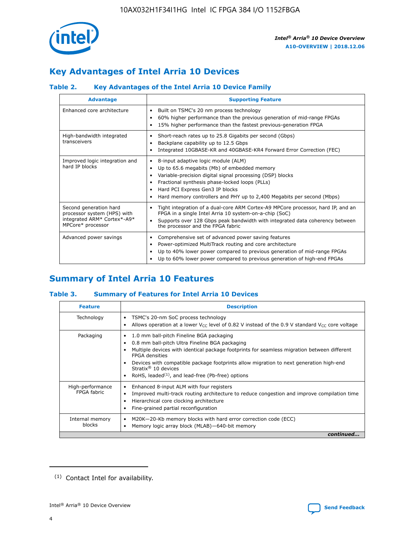

## **Key Advantages of Intel Arria 10 Devices**

## **Table 2. Key Advantages of the Intel Arria 10 Device Family**

| <b>Advantage</b>                                                                                          | <b>Supporting Feature</b>                                                                                                                                                                                                                                                                                                |
|-----------------------------------------------------------------------------------------------------------|--------------------------------------------------------------------------------------------------------------------------------------------------------------------------------------------------------------------------------------------------------------------------------------------------------------------------|
| Enhanced core architecture                                                                                | Built on TSMC's 20 nm process technology<br>٠<br>60% higher performance than the previous generation of mid-range FPGAs<br>٠<br>15% higher performance than the fastest previous-generation FPGA<br>٠                                                                                                                    |
| High-bandwidth integrated<br>transceivers                                                                 | Short-reach rates up to 25.8 Gigabits per second (Gbps)<br>٠<br>Backplane capability up to 12.5 Gbps<br>٠<br>Integrated 10GBASE-KR and 40GBASE-KR4 Forward Error Correction (FEC)<br>٠                                                                                                                                   |
| Improved logic integration and<br>hard IP blocks                                                          | 8-input adaptive logic module (ALM)<br>٠<br>Up to 65.6 megabits (Mb) of embedded memory<br>٠<br>Variable-precision digital signal processing (DSP) blocks<br>Fractional synthesis phase-locked loops (PLLs)<br>Hard PCI Express Gen3 IP blocks<br>Hard memory controllers and PHY up to 2,400 Megabits per second (Mbps) |
| Second generation hard<br>processor system (HPS) with<br>integrated ARM* Cortex*-A9*<br>MPCore* processor | Tight integration of a dual-core ARM Cortex-A9 MPCore processor, hard IP, and an<br>٠<br>FPGA in a single Intel Arria 10 system-on-a-chip (SoC)<br>Supports over 128 Gbps peak bandwidth with integrated data coherency between<br>$\bullet$<br>the processor and the FPGA fabric                                        |
| Advanced power savings                                                                                    | Comprehensive set of advanced power saving features<br>٠<br>Power-optimized MultiTrack routing and core architecture<br>٠<br>Up to 40% lower power compared to previous generation of mid-range FPGAs<br>٠<br>Up to 60% lower power compared to previous generation of high-end FPGAs                                    |

## **Summary of Intel Arria 10 Features**

## **Table 3. Summary of Features for Intel Arria 10 Devices**

| <b>Feature</b>                  | <b>Description</b>                                                                                                                                                                                                                                                                                                                                                                                 |
|---------------------------------|----------------------------------------------------------------------------------------------------------------------------------------------------------------------------------------------------------------------------------------------------------------------------------------------------------------------------------------------------------------------------------------------------|
| Technology                      | TSMC's 20-nm SoC process technology<br>Allows operation at a lower $V_{\text{CC}}$ level of 0.82 V instead of the 0.9 V standard $V_{\text{CC}}$ core voltage                                                                                                                                                                                                                                      |
| Packaging                       | 1.0 mm ball-pitch Fineline BGA packaging<br>٠<br>0.8 mm ball-pitch Ultra Fineline BGA packaging<br>Multiple devices with identical package footprints for seamless migration between different<br><b>FPGA</b> densities<br>Devices with compatible package footprints allow migration to next generation high-end<br>Stratix $@10$ devices<br>RoHS, leaded $(1)$ , and lead-free (Pb-free) options |
| High-performance<br>FPGA fabric | Enhanced 8-input ALM with four registers<br>Improved multi-track routing architecture to reduce congestion and improve compilation time<br>Hierarchical core clocking architecture<br>Fine-grained partial reconfiguration                                                                                                                                                                         |
| Internal memory<br>blocks       | M20K-20-Kb memory blocks with hard error correction code (ECC)<br>Memory logic array block (MLAB)-640-bit memory                                                                                                                                                                                                                                                                                   |
|                                 | continued                                                                                                                                                                                                                                                                                                                                                                                          |



<sup>(1)</sup> Contact Intel for availability.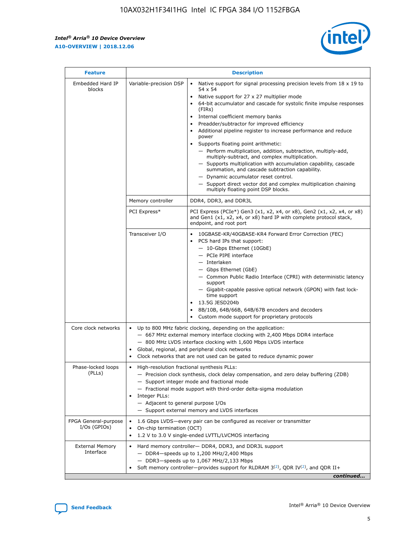$\mathsf{r}$ 



| <b>Feature</b>                         |                                                                                                                | <b>Description</b>                                                                                                                                                                                                                                                                                                                                                                                                                                                                                                                                                                                                                                                                                                                                                                                                                          |
|----------------------------------------|----------------------------------------------------------------------------------------------------------------|---------------------------------------------------------------------------------------------------------------------------------------------------------------------------------------------------------------------------------------------------------------------------------------------------------------------------------------------------------------------------------------------------------------------------------------------------------------------------------------------------------------------------------------------------------------------------------------------------------------------------------------------------------------------------------------------------------------------------------------------------------------------------------------------------------------------------------------------|
| Embedded Hard IP<br>blocks             | Variable-precision DSP                                                                                         | Native support for signal processing precision levels from $18 \times 19$ to<br>$\bullet$<br>54 x 54<br>Native support for 27 x 27 multiplier mode<br>64-bit accumulator and cascade for systolic finite impulse responses<br>(FIRs)<br>Internal coefficient memory banks<br>٠<br>Preadder/subtractor for improved efficiency<br>Additional pipeline register to increase performance and reduce<br>power<br>Supports floating point arithmetic:<br>- Perform multiplication, addition, subtraction, multiply-add,<br>multiply-subtract, and complex multiplication.<br>- Supports multiplication with accumulation capability, cascade<br>summation, and cascade subtraction capability.<br>- Dynamic accumulator reset control.<br>- Support direct vector dot and complex multiplication chaining<br>multiply floating point DSP blocks. |
|                                        | Memory controller                                                                                              | DDR4, DDR3, and DDR3L                                                                                                                                                                                                                                                                                                                                                                                                                                                                                                                                                                                                                                                                                                                                                                                                                       |
|                                        | PCI Express*                                                                                                   | PCI Express (PCIe*) Gen3 (x1, x2, x4, or x8), Gen2 (x1, x2, x4, or x8)<br>and Gen1 (x1, x2, x4, or x8) hard IP with complete protocol stack,<br>endpoint, and root port                                                                                                                                                                                                                                                                                                                                                                                                                                                                                                                                                                                                                                                                     |
|                                        | Transceiver I/O                                                                                                | 10GBASE-KR/40GBASE-KR4 Forward Error Correction (FEC)<br>PCS hard IPs that support:<br>- 10-Gbps Ethernet (10GbE)<br>- PCIe PIPE interface<br>- Interlaken<br>- Gbps Ethernet (GbE)<br>- Common Public Radio Interface (CPRI) with deterministic latency<br>support<br>- Gigabit-capable passive optical network (GPON) with fast lock-<br>time support<br>13.5G JESD204b<br>$\bullet$<br>8B/10B, 64B/66B, 64B/67B encoders and decoders<br>Custom mode support for proprietary protocols                                                                                                                                                                                                                                                                                                                                                   |
| Core clock networks                    | $\bullet$<br>$\bullet$                                                                                         | Up to 800 MHz fabric clocking, depending on the application:<br>- 667 MHz external memory interface clocking with 2,400 Mbps DDR4 interface<br>- 800 MHz LVDS interface clocking with 1,600 Mbps LVDS interface<br>Global, regional, and peripheral clock networks<br>Clock networks that are not used can be gated to reduce dynamic power                                                                                                                                                                                                                                                                                                                                                                                                                                                                                                 |
| Phase-locked loops<br>(PLLs)           | High-resolution fractional synthesis PLLs:<br>$\bullet$<br>Integer PLLs:<br>- Adjacent to general purpose I/Os | - Precision clock synthesis, clock delay compensation, and zero delay buffering (ZDB)<br>- Support integer mode and fractional mode<br>- Fractional mode support with third-order delta-sigma modulation<br>- Support external memory and LVDS interfaces                                                                                                                                                                                                                                                                                                                                                                                                                                                                                                                                                                                   |
| FPGA General-purpose<br>$I/Os$ (GPIOs) | On-chip termination (OCT)<br>$\bullet$                                                                         | 1.6 Gbps LVDS-every pair can be configured as receiver or transmitter<br>1.2 V to 3.0 V single-ended LVTTL/LVCMOS interfacing                                                                                                                                                                                                                                                                                                                                                                                                                                                                                                                                                                                                                                                                                                               |
| <b>External Memory</b><br>Interface    |                                                                                                                | Hard memory controller- DDR4, DDR3, and DDR3L support<br>$-$ DDR4 $-$ speeds up to 1,200 MHz/2,400 Mbps<br>- DDR3-speeds up to 1,067 MHz/2,133 Mbps<br>Soft memory controller—provides support for RLDRAM $3^{(2)}$ , QDR IV $(2^2)$ , and QDR II+<br>continued                                                                                                                                                                                                                                                                                                                                                                                                                                                                                                                                                                             |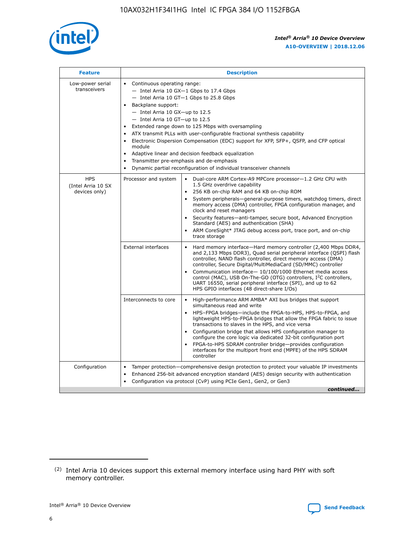

| <b>Feature</b>                                    | <b>Description</b>                                                                                                                                                                                                                                                                                                                                                                                                                                                                                                                                                                                                                                  |
|---------------------------------------------------|-----------------------------------------------------------------------------------------------------------------------------------------------------------------------------------------------------------------------------------------------------------------------------------------------------------------------------------------------------------------------------------------------------------------------------------------------------------------------------------------------------------------------------------------------------------------------------------------------------------------------------------------------------|
| Low-power serial<br>transceivers                  | • Continuous operating range:<br>- Intel Arria 10 GX-1 Gbps to 17.4 Gbps<br>- Intel Arria 10 GT-1 Gbps to 25.8 Gbps<br>Backplane support:<br>- Intel Arria 10 GX-up to 12.5<br>- Intel Arria 10 GT-up to 12.5<br>Extended range down to 125 Mbps with oversampling<br>ATX transmit PLLs with user-configurable fractional synthesis capability<br>Electronic Dispersion Compensation (EDC) support for XFP, SFP+, QSFP, and CFP optical<br>module<br>Adaptive linear and decision feedback equalization<br>$\bullet$<br>Transmitter pre-emphasis and de-emphasis<br>$\bullet$<br>Dynamic partial reconfiguration of individual transceiver channels |
| <b>HPS</b><br>(Intel Arria 10 SX<br>devices only) | Dual-core ARM Cortex-A9 MPCore processor-1.2 GHz CPU with<br>Processor and system<br>$\bullet$<br>1.5 GHz overdrive capability<br>256 KB on-chip RAM and 64 KB on-chip ROM<br>System peripherals—general-purpose timers, watchdog timers, direct<br>memory access (DMA) controller, FPGA configuration manager, and<br>clock and reset managers<br>Security features-anti-tamper, secure boot, Advanced Encryption<br>Standard (AES) and authentication (SHA)<br>ARM CoreSight* JTAG debug access port, trace port, and on-chip<br>trace storage                                                                                                    |
|                                                   | <b>External interfaces</b><br>Hard memory interface-Hard memory controller (2,400 Mbps DDR4,<br>$\bullet$<br>and 2,133 Mbps DDR3), Quad serial peripheral interface (QSPI) flash<br>controller, NAND flash controller, direct memory access (DMA)<br>controller, Secure Digital/MultiMediaCard (SD/MMC) controller<br>Communication interface-10/100/1000 Ethernet media access<br>control (MAC), USB On-The-GO (OTG) controllers, I <sup>2</sup> C controllers,<br>UART 16550, serial peripheral interface (SPI), and up to 62<br>HPS GPIO interfaces (48 direct-share I/Os)                                                                       |
|                                                   | High-performance ARM AMBA* AXI bus bridges that support<br>Interconnects to core<br>$\bullet$<br>simultaneous read and write<br>HPS-FPGA bridges-include the FPGA-to-HPS, HPS-to-FPGA, and<br>$\bullet$<br>lightweight HPS-to-FPGA bridges that allow the FPGA fabric to issue<br>transactions to slaves in the HPS, and vice versa<br>Configuration bridge that allows HPS configuration manager to<br>configure the core logic via dedicated 32-bit configuration port<br>FPGA-to-HPS SDRAM controller bridge-provides configuration<br>interfaces for the multiport front end (MPFE) of the HPS SDRAM<br>controller                              |
| Configuration                                     | Tamper protection—comprehensive design protection to protect your valuable IP investments<br>Enhanced 256-bit advanced encryption standard (AES) design security with authentication<br>٠<br>Configuration via protocol (CvP) using PCIe Gen1, Gen2, or Gen3<br>continued                                                                                                                                                                                                                                                                                                                                                                           |

<sup>(2)</sup> Intel Arria 10 devices support this external memory interface using hard PHY with soft memory controller.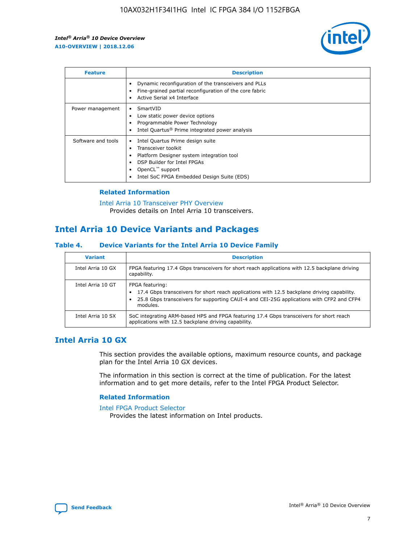

| <b>Feature</b>     | <b>Description</b>                                                                                                                                                                                               |
|--------------------|------------------------------------------------------------------------------------------------------------------------------------------------------------------------------------------------------------------|
|                    | Dynamic reconfiguration of the transceivers and PLLs<br>Fine-grained partial reconfiguration of the core fabric<br>Active Serial x4 Interface<br>$\bullet$                                                       |
| Power management   | SmartVID<br>Low static power device options<br>Programmable Power Technology<br>Intel Quartus <sup>®</sup> Prime integrated power analysis                                                                       |
| Software and tools | Intel Quartus Prime design suite<br>Transceiver toolkit<br>Platform Designer system integration tool<br>DSP Builder for Intel FPGAs<br>OpenCL <sup>™</sup> support<br>Intel SoC FPGA Embedded Design Suite (EDS) |

## **Related Information**

[Intel Arria 10 Transceiver PHY Overview](https://www.intel.com/content/www/us/en/programmable/documentation/nik1398707230472.html#nik1398706768037) Provides details on Intel Arria 10 transceivers.

## **Intel Arria 10 Device Variants and Packages**

#### **Table 4. Device Variants for the Intel Arria 10 Device Family**

| <b>Variant</b>    | <b>Description</b>                                                                                                                                                                                                     |
|-------------------|------------------------------------------------------------------------------------------------------------------------------------------------------------------------------------------------------------------------|
| Intel Arria 10 GX | FPGA featuring 17.4 Gbps transceivers for short reach applications with 12.5 backplane driving<br>capability.                                                                                                          |
| Intel Arria 10 GT | FPGA featuring:<br>17.4 Gbps transceivers for short reach applications with 12.5 backplane driving capability.<br>25.8 Gbps transceivers for supporting CAUI-4 and CEI-25G applications with CFP2 and CFP4<br>modules. |
| Intel Arria 10 SX | SoC integrating ARM-based HPS and FPGA featuring 17.4 Gbps transceivers for short reach<br>applications with 12.5 backplane driving capability.                                                                        |

## **Intel Arria 10 GX**

This section provides the available options, maximum resource counts, and package plan for the Intel Arria 10 GX devices.

The information in this section is correct at the time of publication. For the latest information and to get more details, refer to the Intel FPGA Product Selector.

## **Related Information**

#### [Intel FPGA Product Selector](http://www.altera.com/products/selector/psg-selector.html) Provides the latest information on Intel products.

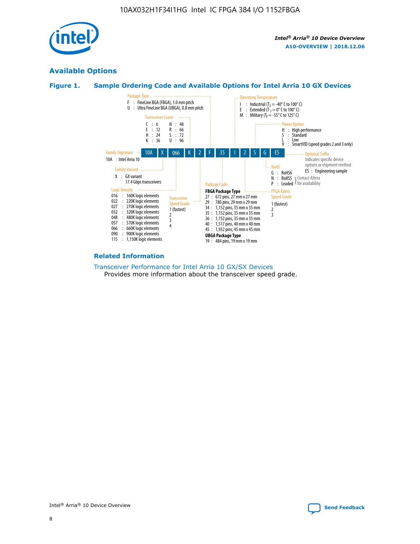

## **Available Options**





#### **Related Information**

#### [Transceiver Performance for Intel Arria 10 GX/SX Devices](https://www.intel.com/content/www/us/en/programmable/documentation/mcn1413182292568.html#mcn1413213965502) Provides more information about the transceiver speed grade.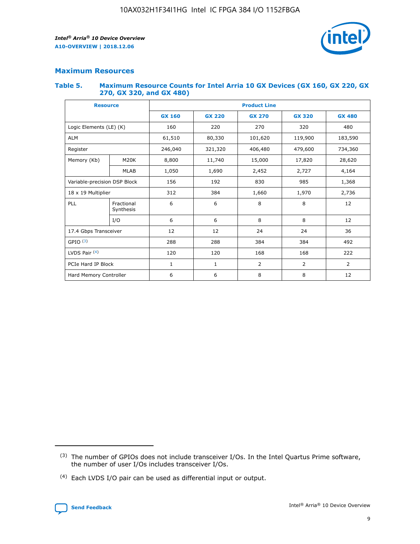

## **Maximum Resources**

#### **Table 5. Maximum Resource Counts for Intel Arria 10 GX Devices (GX 160, GX 220, GX 270, GX 320, and GX 480)**

| <b>Resource</b>              |                         | <b>Product Line</b> |                                                 |                |                |                |  |  |
|------------------------------|-------------------------|---------------------|-------------------------------------------------|----------------|----------------|----------------|--|--|
|                              |                         | <b>GX 160</b>       | <b>GX 220</b><br><b>GX 270</b><br><b>GX 320</b> |                |                | <b>GX 480</b>  |  |  |
| Logic Elements (LE) (K)      |                         | 160                 | 220                                             | 270            | 320            | 480            |  |  |
| <b>ALM</b>                   |                         | 61,510              | 80,330                                          | 101,620        | 119,900        | 183,590        |  |  |
| Register                     |                         | 246,040             | 406,480<br>321,320                              |                | 479,600        | 734,360        |  |  |
| Memory (Kb)                  | M <sub>20</sub> K       | 8,800               | 11,740                                          | 15,000         | 17,820         | 28,620         |  |  |
|                              | <b>MLAB</b>             | 1,050               | 1,690<br>2,452<br>2,727                         |                |                | 4,164          |  |  |
| Variable-precision DSP Block |                         | 156                 | 192                                             | 830            | 985            | 1,368          |  |  |
| 18 x 19 Multiplier           |                         | 312                 | 384                                             | 1,970<br>1,660 |                | 2,736          |  |  |
| PLL                          | Fractional<br>Synthesis | 6                   | 6                                               | 8              | 8              | 12             |  |  |
|                              | I/O                     | 6                   | 6                                               | 8              | 8              | 12             |  |  |
| 17.4 Gbps Transceiver        |                         | 12                  | 12                                              | 24             | 24             | 36             |  |  |
| GPIO <sup>(3)</sup>          |                         | 288                 | 288                                             | 384            | 384            |                |  |  |
| LVDS Pair $(4)$              |                         | 120                 | 120                                             | 168            | 168            | 222            |  |  |
| PCIe Hard IP Block           |                         | 1                   | 1                                               | 2              | $\overline{2}$ | $\overline{2}$ |  |  |
| Hard Memory Controller       |                         | 6                   | 6                                               | 8              | 8              | 12             |  |  |

<sup>(4)</sup> Each LVDS I/O pair can be used as differential input or output.



<sup>(3)</sup> The number of GPIOs does not include transceiver I/Os. In the Intel Quartus Prime software, the number of user I/Os includes transceiver I/Os.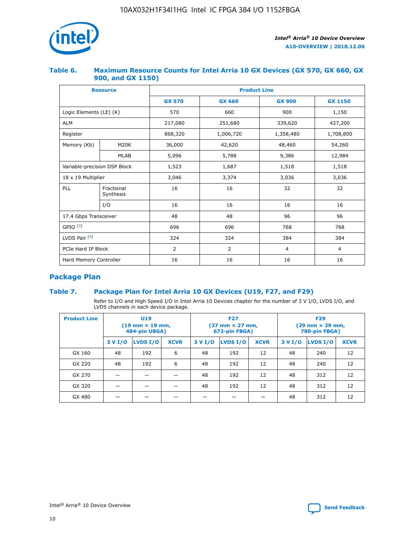

## **Table 6. Maximum Resource Counts for Intel Arria 10 GX Devices (GX 570, GX 660, GX 900, and GX 1150)**

|                              | <b>Resource</b>         | <b>Product Line</b> |                        |                |                |  |  |  |
|------------------------------|-------------------------|---------------------|------------------------|----------------|----------------|--|--|--|
|                              |                         | <b>GX 570</b>       | <b>GX 660</b>          | <b>GX 900</b>  | <b>GX 1150</b> |  |  |  |
| Logic Elements (LE) (K)      |                         | 570                 | 660                    | 900            | 1,150          |  |  |  |
| <b>ALM</b>                   |                         | 217,080             | 251,680                | 339,620        | 427,200        |  |  |  |
| Register                     |                         | 868,320             | 1,006,720<br>1,358,480 |                | 1,708,800      |  |  |  |
| Memory (Kb)                  | <b>M20K</b>             | 36,000              | 42,620                 | 48,460         | 54,260         |  |  |  |
|                              | <b>MLAB</b>             | 5,096               | 5,788                  | 9,386          | 12,984         |  |  |  |
| Variable-precision DSP Block |                         | 1,523               | 1,687                  | 1,518          | 1,518          |  |  |  |
| $18 \times 19$ Multiplier    |                         | 3,046               | 3,374                  | 3,036          | 3,036          |  |  |  |
| PLL                          | Fractional<br>Synthesis | 16                  | 16                     | 32             | 32             |  |  |  |
|                              | I/O                     | 16                  | 16                     | 16             | 16             |  |  |  |
| 17.4 Gbps Transceiver        |                         | 48                  | 48<br>96               |                | 96             |  |  |  |
| GPIO <sup>(3)</sup>          |                         | 696                 | 696                    | 768            | 768            |  |  |  |
| LVDS Pair $(4)$              |                         | 324                 | 324                    | 384            | 384            |  |  |  |
| PCIe Hard IP Block           |                         | 2                   | $\overline{2}$         | $\overline{4}$ | 4              |  |  |  |
| Hard Memory Controller       |                         | 16                  | 16                     | 16             | 16             |  |  |  |

## **Package Plan**

## **Table 7. Package Plan for Intel Arria 10 GX Devices (U19, F27, and F29)**

Refer to I/O and High Speed I/O in Intel Arria 10 Devices chapter for the number of 3 V I/O, LVDS I/O, and LVDS channels in each device package.

| <b>Product Line</b> | U <sub>19</sub><br>$(19 \text{ mm} \times 19 \text{ mm})$<br>484-pin UBGA) |          |             |         | <b>F27</b><br>(27 mm × 27 mm,<br>672-pin FBGA) |             | <b>F29</b><br>(29 mm × 29 mm,<br>780-pin FBGA) |          |             |  |
|---------------------|----------------------------------------------------------------------------|----------|-------------|---------|------------------------------------------------|-------------|------------------------------------------------|----------|-------------|--|
|                     | 3 V I/O                                                                    | LVDS I/O | <b>XCVR</b> | 3 V I/O | LVDS I/O                                       | <b>XCVR</b> | 3 V I/O                                        | LVDS I/O | <b>XCVR</b> |  |
| GX 160              | 48                                                                         | 192      | 6           | 48      | 192                                            | 12          | 48                                             | 240      | 12          |  |
| GX 220              | 48                                                                         | 192      | 6           | 48      | 192                                            | 12          | 48                                             | 240      | 12          |  |
| GX 270              |                                                                            |          |             | 48      | 192                                            | 12          | 48                                             | 312      | 12          |  |
| GX 320              |                                                                            |          |             | 48      | 192                                            | 12          | 48                                             | 312      | 12          |  |
| GX 480              |                                                                            |          |             |         |                                                |             | 48                                             | 312      | 12          |  |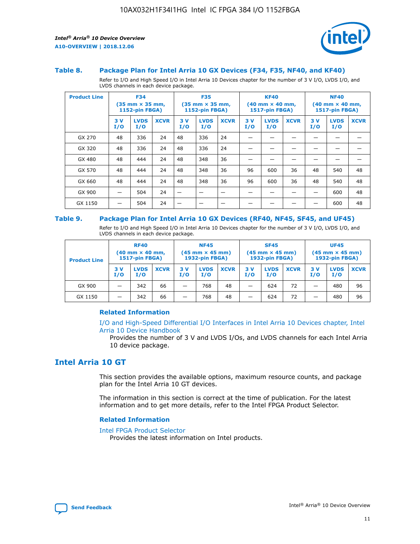



#### **Table 8. Package Plan for Intel Arria 10 GX Devices (F34, F35, NF40, and KF40)**

Refer to I/O and High Speed I/O in Intel Arria 10 Devices chapter for the number of 3 V I/O, LVDS I/O, and LVDS channels in each device package.

| <b>Product Line</b> | <b>F34</b><br>$(35 \text{ mm} \times 35 \text{ mm})$<br><b>1152-pin FBGA)</b> |                    | <b>F35</b><br>$(35 \text{ mm} \times 35 \text{ mm})$<br><b>1152-pin FBGA)</b> |           | <b>KF40</b><br>$(40$ mm $\times$ 40 mm,<br>1517-pin FBGA) |             |           | <b>NF40</b><br>$(40 \text{ mm} \times 40 \text{ mm})$<br>1517-pin FBGA) |             |           |                    |             |
|---------------------|-------------------------------------------------------------------------------|--------------------|-------------------------------------------------------------------------------|-----------|-----------------------------------------------------------|-------------|-----------|-------------------------------------------------------------------------|-------------|-----------|--------------------|-------------|
|                     | 3V<br>I/O                                                                     | <b>LVDS</b><br>I/O | <b>XCVR</b>                                                                   | 3V<br>I/O | <b>LVDS</b><br>I/O                                        | <b>XCVR</b> | 3V<br>I/O | <b>LVDS</b><br>I/O                                                      | <b>XCVR</b> | 3V<br>I/O | <b>LVDS</b><br>I/O | <b>XCVR</b> |
| GX 270              | 48                                                                            | 336                | 24                                                                            | 48        | 336                                                       | 24          |           |                                                                         |             |           |                    |             |
| GX 320              | 48                                                                            | 336                | 24                                                                            | 48        | 336                                                       | 24          |           |                                                                         |             |           |                    |             |
| GX 480              | 48                                                                            | 444                | 24                                                                            | 48        | 348                                                       | 36          |           |                                                                         |             |           |                    |             |
| GX 570              | 48                                                                            | 444                | 24                                                                            | 48        | 348                                                       | 36          | 96        | 600                                                                     | 36          | 48        | 540                | 48          |
| GX 660              | 48                                                                            | 444                | 24                                                                            | 48        | 348                                                       | 36          | 96        | 600                                                                     | 36          | 48        | 540                | 48          |
| GX 900              |                                                                               | 504                | 24                                                                            | –         |                                                           | -           |           |                                                                         |             |           | 600                | 48          |
| GX 1150             |                                                                               | 504                | 24                                                                            |           |                                                           |             |           |                                                                         |             |           | 600                | 48          |

#### **Table 9. Package Plan for Intel Arria 10 GX Devices (RF40, NF45, SF45, and UF45)**

Refer to I/O and High Speed I/O in Intel Arria 10 Devices chapter for the number of 3 V I/O, LVDS I/O, and LVDS channels in each device package.

| <b>Product Line</b> | <b>RF40</b><br>$(40$ mm $\times$ 40 mm,<br>1517-pin FBGA) |                    | <b>NF45</b><br>$(45 \text{ mm} \times 45 \text{ mm})$<br><b>1932-pin FBGA)</b> |            |                    | <b>SF45</b><br>$(45 \text{ mm} \times 45 \text{ mm})$<br><b>1932-pin FBGA)</b> |            |                    | <b>UF45</b><br>$(45 \text{ mm} \times 45 \text{ mm})$<br><b>1932-pin FBGA)</b> |           |                    |             |
|---------------------|-----------------------------------------------------------|--------------------|--------------------------------------------------------------------------------|------------|--------------------|--------------------------------------------------------------------------------|------------|--------------------|--------------------------------------------------------------------------------|-----------|--------------------|-------------|
|                     | 3V<br>I/O                                                 | <b>LVDS</b><br>I/O | <b>XCVR</b>                                                                    | 3 V<br>I/O | <b>LVDS</b><br>I/O | <b>XCVR</b>                                                                    | 3 V<br>I/O | <b>LVDS</b><br>I/O | <b>XCVR</b>                                                                    | 3V<br>I/O | <b>LVDS</b><br>I/O | <b>XCVR</b> |
| GX 900              |                                                           | 342                | 66                                                                             | _          | 768                | 48                                                                             |            | 624                | 72                                                                             |           | 480                | 96          |
| GX 1150             |                                                           | 342                | 66                                                                             | _          | 768                | 48                                                                             |            | 624                | 72                                                                             |           | 480                | 96          |

## **Related Information**

[I/O and High-Speed Differential I/O Interfaces in Intel Arria 10 Devices chapter, Intel](https://www.intel.com/content/www/us/en/programmable/documentation/sam1403482614086.html#sam1403482030321) [Arria 10 Device Handbook](https://www.intel.com/content/www/us/en/programmable/documentation/sam1403482614086.html#sam1403482030321)

Provides the number of 3 V and LVDS I/Os, and LVDS channels for each Intel Arria 10 device package.

## **Intel Arria 10 GT**

This section provides the available options, maximum resource counts, and package plan for the Intel Arria 10 GT devices.

The information in this section is correct at the time of publication. For the latest information and to get more details, refer to the Intel FPGA Product Selector.

#### **Related Information**

#### [Intel FPGA Product Selector](http://www.altera.com/products/selector/psg-selector.html)

Provides the latest information on Intel products.

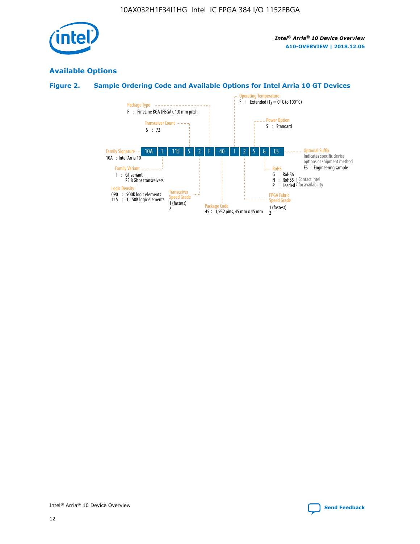

## **Available Options**

## **Figure 2. Sample Ordering Code and Available Options for Intel Arria 10 GT Devices**

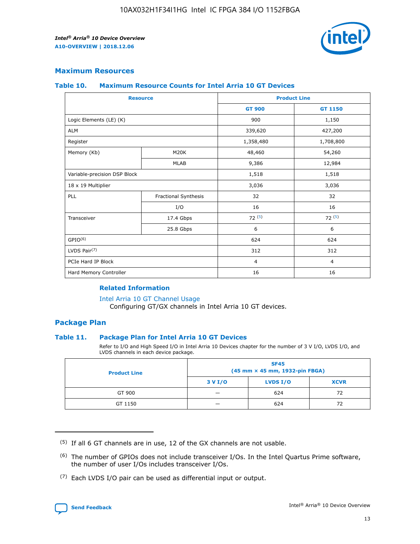

## **Maximum Resources**

#### **Table 10. Maximum Resource Counts for Intel Arria 10 GT Devices**

| <b>Resource</b>              |                      |                | <b>Product Line</b> |  |
|------------------------------|----------------------|----------------|---------------------|--|
|                              |                      | <b>GT 900</b>  | GT 1150             |  |
| Logic Elements (LE) (K)      |                      | 900            | 1,150               |  |
| <b>ALM</b>                   |                      | 339,620        | 427,200             |  |
| Register                     |                      | 1,358,480      | 1,708,800           |  |
| Memory (Kb)                  | M <sub>20</sub> K    | 48,460         | 54,260              |  |
|                              | <b>MLAB</b>          | 9,386          | 12,984              |  |
| Variable-precision DSP Block |                      | 1,518          | 1,518               |  |
| 18 x 19 Multiplier           |                      | 3,036          | 3,036               |  |
| PLL                          | Fractional Synthesis | 32             | 32                  |  |
|                              | I/O                  | 16             | 16                  |  |
| Transceiver                  | 17.4 Gbps            | 72(5)          | 72(5)               |  |
|                              | 25.8 Gbps            | 6              | 6                   |  |
| GPIO <sup>(6)</sup>          |                      | 624            | 624                 |  |
| LVDS Pair $(7)$              |                      | 312            | 312                 |  |
| PCIe Hard IP Block           |                      | $\overline{4}$ | $\overline{4}$      |  |
| Hard Memory Controller       |                      | 16             | 16                  |  |

#### **Related Information**

#### [Intel Arria 10 GT Channel Usage](https://www.intel.com/content/www/us/en/programmable/documentation/nik1398707230472.html#nik1398707008178)

Configuring GT/GX channels in Intel Arria 10 GT devices.

## **Package Plan**

## **Table 11. Package Plan for Intel Arria 10 GT Devices**

Refer to I/O and High Speed I/O in Intel Arria 10 Devices chapter for the number of 3 V I/O, LVDS I/O, and LVDS channels in each device package.

| <b>Product Line</b> | <b>SF45</b><br>(45 mm × 45 mm, 1932-pin FBGA) |                 |             |  |  |  |
|---------------------|-----------------------------------------------|-----------------|-------------|--|--|--|
|                     | 3 V I/O                                       | <b>LVDS I/O</b> | <b>XCVR</b> |  |  |  |
| GT 900              |                                               | 624             | 72          |  |  |  |
| GT 1150             |                                               | 624             |             |  |  |  |

<sup>(7)</sup> Each LVDS I/O pair can be used as differential input or output.



 $(5)$  If all 6 GT channels are in use, 12 of the GX channels are not usable.

<sup>(6)</sup> The number of GPIOs does not include transceiver I/Os. In the Intel Quartus Prime software, the number of user I/Os includes transceiver I/Os.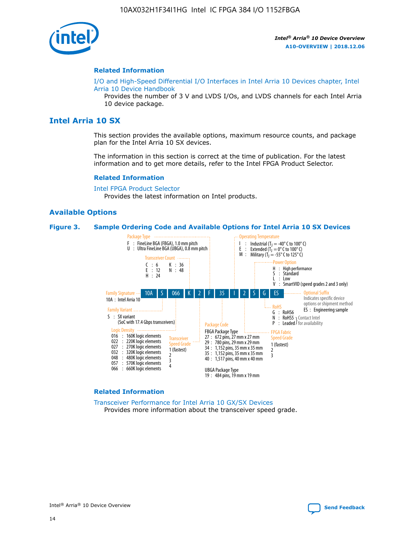

#### **Related Information**

[I/O and High-Speed Differential I/O Interfaces in Intel Arria 10 Devices chapter, Intel](https://www.intel.com/content/www/us/en/programmable/documentation/sam1403482614086.html#sam1403482030321) [Arria 10 Device Handbook](https://www.intel.com/content/www/us/en/programmable/documentation/sam1403482614086.html#sam1403482030321)

Provides the number of 3 V and LVDS I/Os, and LVDS channels for each Intel Arria 10 device package.

## **Intel Arria 10 SX**

This section provides the available options, maximum resource counts, and package plan for the Intel Arria 10 SX devices.

The information in this section is correct at the time of publication. For the latest information and to get more details, refer to the Intel FPGA Product Selector.

#### **Related Information**

[Intel FPGA Product Selector](http://www.altera.com/products/selector/psg-selector.html) Provides the latest information on Intel products.

#### **Available Options**

#### **Figure 3. Sample Ordering Code and Available Options for Intel Arria 10 SX Devices**



#### **Related Information**

[Transceiver Performance for Intel Arria 10 GX/SX Devices](https://www.intel.com/content/www/us/en/programmable/documentation/mcn1413182292568.html#mcn1413213965502) Provides more information about the transceiver speed grade.

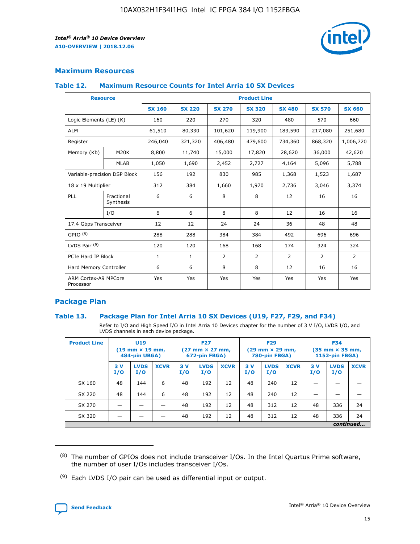

## **Maximum Resources**

## **Table 12. Maximum Resource Counts for Intel Arria 10 SX Devices**

| <b>Resource</b>                   |                         | <b>Product Line</b> |               |               |                |               |               |               |  |  |  |
|-----------------------------------|-------------------------|---------------------|---------------|---------------|----------------|---------------|---------------|---------------|--|--|--|
|                                   |                         | <b>SX 160</b>       | <b>SX 220</b> | <b>SX 270</b> | <b>SX 320</b>  | <b>SX 480</b> | <b>SX 570</b> | <b>SX 660</b> |  |  |  |
| Logic Elements (LE) (K)           |                         | 160                 | 220           | 270           | 320            | 480           | 570           | 660           |  |  |  |
| <b>ALM</b>                        |                         | 61,510              | 80,330        | 101,620       | 119,900        | 183,590       | 217,080       | 251,680       |  |  |  |
| Register                          |                         | 246,040             | 321,320       | 406,480       | 479,600        | 734,360       | 868,320       | 1,006,720     |  |  |  |
| Memory (Kb)                       | M20K                    | 8,800               | 11,740        | 15,000        | 17,820         | 28,620        | 36,000        | 42,620        |  |  |  |
|                                   | <b>MLAB</b>             | 1,050               | 1,690         | 2,452         | 2,727          | 4,164         | 5,096         | 5,788         |  |  |  |
| Variable-precision DSP Block      |                         | 156                 | 192           | 830           | 985            | 1,368         | 1,523         | 1,687         |  |  |  |
| 18 x 19 Multiplier                |                         | 312                 | 384           | 1,660         | 1,970          | 2,736         | 3,046         | 3,374         |  |  |  |
| PLL                               | Fractional<br>Synthesis | 6                   | 6             | 8             | 8              | 12            | 16            | 16            |  |  |  |
|                                   | I/O                     | 6                   | 6             | 8             | 8              | 12            | 16            | 16            |  |  |  |
| 17.4 Gbps Transceiver             |                         | 12                  | 12            | 24            | 24             | 36            | 48            | 48            |  |  |  |
| GPIO <sup>(8)</sup>               |                         | 288                 | 288           | 384           | 384            | 492           | 696           | 696           |  |  |  |
| LVDS Pair $(9)$                   |                         | 120                 | 120           | 168           | 168            | 174           | 324           | 324           |  |  |  |
| PCIe Hard IP Block                |                         | $\mathbf{1}$        | $\mathbf{1}$  | 2             | $\overline{2}$ | 2             | 2             | 2             |  |  |  |
| Hard Memory Controller            |                         | 6                   | 6             | 8             | 8              | 12            | 16            | 16            |  |  |  |
| ARM Cortex-A9 MPCore<br>Processor |                         | Yes                 | Yes           | Yes           | Yes            | Yes           | Yes           | Yes           |  |  |  |

## **Package Plan**

## **Table 13. Package Plan for Intel Arria 10 SX Devices (U19, F27, F29, and F34)**

Refer to I/O and High Speed I/O in Intel Arria 10 Devices chapter for the number of 3 V I/O, LVDS I/O, and LVDS channels in each device package.

| <b>Product Line</b> | U19<br>$(19 \text{ mm} \times 19 \text{ mm})$<br>484-pin UBGA) |                    | <b>F27</b><br>$(27 \text{ mm} \times 27 \text{ mm})$<br>672-pin FBGA) |           | <b>F29</b><br>$(29 \text{ mm} \times 29 \text{ mm})$<br>780-pin FBGA) |             |            | <b>F34</b><br>$(35 \text{ mm} \times 35 \text{ mm})$<br><b>1152-pin FBGA)</b> |             |           |                    |             |
|---------------------|----------------------------------------------------------------|--------------------|-----------------------------------------------------------------------|-----------|-----------------------------------------------------------------------|-------------|------------|-------------------------------------------------------------------------------|-------------|-----------|--------------------|-------------|
|                     | 3V<br>I/O                                                      | <b>LVDS</b><br>I/O | <b>XCVR</b>                                                           | 3V<br>I/O | <b>LVDS</b><br>I/O                                                    | <b>XCVR</b> | 3 V<br>I/O | <b>LVDS</b><br>I/O                                                            | <b>XCVR</b> | 3V<br>I/O | <b>LVDS</b><br>I/O | <b>XCVR</b> |
| SX 160              | 48                                                             | 144                | 6                                                                     | 48        | 192                                                                   | 12          | 48         | 240                                                                           | 12          | –         |                    |             |
| SX 220              | 48                                                             | 144                | 6                                                                     | 48        | 192                                                                   | 12          | 48         | 240                                                                           | 12          |           |                    |             |
| SX 270              |                                                                |                    |                                                                       | 48        | 192                                                                   | 12          | 48         | 312                                                                           | 12          | 48        | 336                | 24          |
| SX 320              |                                                                |                    |                                                                       | 48        | 192                                                                   | 12          | 48         | 312                                                                           | 12          | 48        | 336                | 24          |
|                     | continued                                                      |                    |                                                                       |           |                                                                       |             |            |                                                                               |             |           |                    |             |

 $(8)$  The number of GPIOs does not include transceiver I/Os. In the Intel Quartus Prime software, the number of user I/Os includes transceiver I/Os.

 $(9)$  Each LVDS I/O pair can be used as differential input or output.

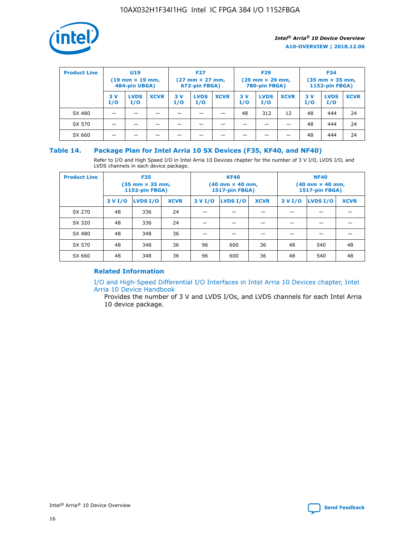

| <b>Product Line</b> | U <sub>19</sub><br>$(19 \text{ mm} \times 19 \text{ mm})$<br>484-pin UBGA) |                    | <b>F27</b><br>$(27 \text{ mm} \times 27 \text{ mm})$<br>672-pin FBGA) |           | <b>F29</b><br>$(29 \text{ mm} \times 29 \text{ mm})$<br>780-pin FBGA) |             |           | <b>F34</b><br>$(35 \text{ mm} \times 35 \text{ mm})$<br><b>1152-pin FBGA)</b> |             |           |                    |             |
|---------------------|----------------------------------------------------------------------------|--------------------|-----------------------------------------------------------------------|-----------|-----------------------------------------------------------------------|-------------|-----------|-------------------------------------------------------------------------------|-------------|-----------|--------------------|-------------|
|                     | 3 V<br>I/O                                                                 | <b>LVDS</b><br>I/O | <b>XCVR</b>                                                           | 3V<br>I/O | <b>LVDS</b><br>I/O                                                    | <b>XCVR</b> | 3V<br>I/O | <b>LVDS</b><br>I/O                                                            | <b>XCVR</b> | 3V<br>I/O | <b>LVDS</b><br>I/O | <b>XCVR</b> |
| SX 480              |                                                                            |                    |                                                                       |           |                                                                       |             | 48        | 312                                                                           | 12          | 48        | 444                | 24          |
| SX 570              |                                                                            |                    |                                                                       |           |                                                                       |             |           |                                                                               |             | 48        | 444                | 24          |
| SX 660              |                                                                            |                    |                                                                       |           |                                                                       |             |           |                                                                               |             | 48        | 444                | 24          |

## **Table 14. Package Plan for Intel Arria 10 SX Devices (F35, KF40, and NF40)**

Refer to I/O and High Speed I/O in Intel Arria 10 Devices chapter for the number of 3 V I/O, LVDS I/O, and LVDS channels in each device package.

| <b>Product Line</b> | <b>F35</b><br>$(35 \text{ mm} \times 35 \text{ mm})$<br><b>1152-pin FBGA)</b> |          |             |                                           | <b>KF40</b><br>(40 mm × 40 mm,<br>1517-pin FBGA) |    | <b>NF40</b><br>$(40 \text{ mm} \times 40 \text{ mm})$<br>1517-pin FBGA) |          |             |  |
|---------------------|-------------------------------------------------------------------------------|----------|-------------|-------------------------------------------|--------------------------------------------------|----|-------------------------------------------------------------------------|----------|-------------|--|
|                     | 3 V I/O                                                                       | LVDS I/O | <b>XCVR</b> | <b>LVDS I/O</b><br><b>XCVR</b><br>3 V I/O |                                                  |    | 3 V I/O                                                                 | LVDS I/O | <b>XCVR</b> |  |
| SX 270              | 48                                                                            | 336      | 24          |                                           |                                                  |    |                                                                         |          |             |  |
| SX 320              | 48                                                                            | 336      | 24          |                                           |                                                  |    |                                                                         |          |             |  |
| SX 480              | 48                                                                            | 348      | 36          |                                           |                                                  |    |                                                                         |          |             |  |
| SX 570              | 48                                                                            | 348      | 36          | 96                                        | 600                                              | 36 | 48                                                                      | 540      | 48          |  |
| SX 660              | 48                                                                            | 348      | 36          | 96                                        | 600                                              | 36 | 48                                                                      | 540      | 48          |  |

## **Related Information**

[I/O and High-Speed Differential I/O Interfaces in Intel Arria 10 Devices chapter, Intel](https://www.intel.com/content/www/us/en/programmable/documentation/sam1403482614086.html#sam1403482030321) [Arria 10 Device Handbook](https://www.intel.com/content/www/us/en/programmable/documentation/sam1403482614086.html#sam1403482030321)

Provides the number of 3 V and LVDS I/Os, and LVDS channels for each Intel Arria 10 device package.

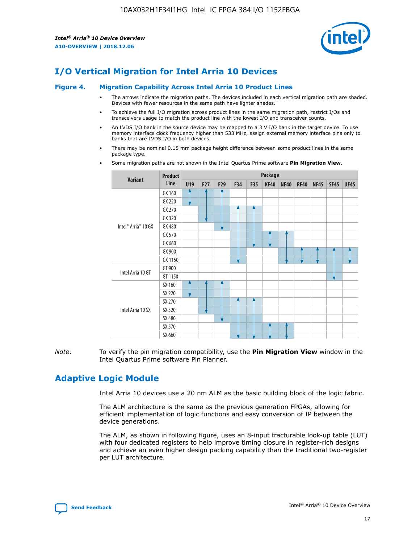

## **I/O Vertical Migration for Intel Arria 10 Devices**

#### **Figure 4. Migration Capability Across Intel Arria 10 Product Lines**

- The arrows indicate the migration paths. The devices included in each vertical migration path are shaded. Devices with fewer resources in the same path have lighter shades.
- To achieve the full I/O migration across product lines in the same migration path, restrict I/Os and transceivers usage to match the product line with the lowest I/O and transceiver counts.
- An LVDS I/O bank in the source device may be mapped to a 3 V I/O bank in the target device. To use memory interface clock frequency higher than 533 MHz, assign external memory interface pins only to banks that are LVDS I/O in both devices.
- There may be nominal 0.15 mm package height difference between some product lines in the same package type.
	- **Variant Product Line Package U19 F27 F29 F34 F35 KF40 NF40 RF40 NF45 SF45 UF45** Intel® Arria® 10 GX GX 160 GX 220 GX 270 GX 320 GX 480 GX 570 GX 660 GX 900 GX 1150 Intel Arria 10 GT GT 900 GT 1150 Intel Arria 10 SX SX 160 SX 220 SX 270 SX 320 SX 480 SX 570 SX 660
- Some migration paths are not shown in the Intel Quartus Prime software **Pin Migration View**.

*Note:* To verify the pin migration compatibility, use the **Pin Migration View** window in the Intel Quartus Prime software Pin Planner.

## **Adaptive Logic Module**

Intel Arria 10 devices use a 20 nm ALM as the basic building block of the logic fabric.

The ALM architecture is the same as the previous generation FPGAs, allowing for efficient implementation of logic functions and easy conversion of IP between the device generations.

The ALM, as shown in following figure, uses an 8-input fracturable look-up table (LUT) with four dedicated registers to help improve timing closure in register-rich designs and achieve an even higher design packing capability than the traditional two-register per LUT architecture.

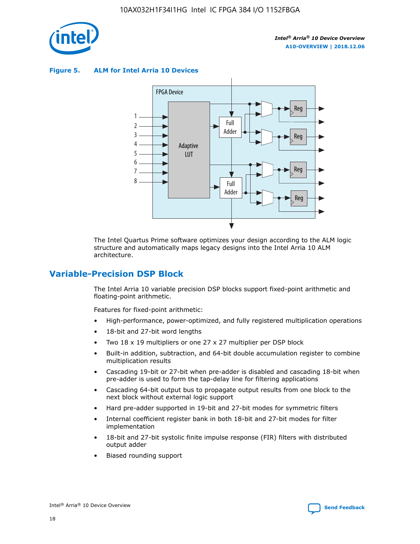

**Figure 5. ALM for Intel Arria 10 Devices**



The Intel Quartus Prime software optimizes your design according to the ALM logic structure and automatically maps legacy designs into the Intel Arria 10 ALM architecture.

## **Variable-Precision DSP Block**

The Intel Arria 10 variable precision DSP blocks support fixed-point arithmetic and floating-point arithmetic.

Features for fixed-point arithmetic:

- High-performance, power-optimized, and fully registered multiplication operations
- 18-bit and 27-bit word lengths
- Two 18 x 19 multipliers or one 27 x 27 multiplier per DSP block
- Built-in addition, subtraction, and 64-bit double accumulation register to combine multiplication results
- Cascading 19-bit or 27-bit when pre-adder is disabled and cascading 18-bit when pre-adder is used to form the tap-delay line for filtering applications
- Cascading 64-bit output bus to propagate output results from one block to the next block without external logic support
- Hard pre-adder supported in 19-bit and 27-bit modes for symmetric filters
- Internal coefficient register bank in both 18-bit and 27-bit modes for filter implementation
- 18-bit and 27-bit systolic finite impulse response (FIR) filters with distributed output adder
- Biased rounding support

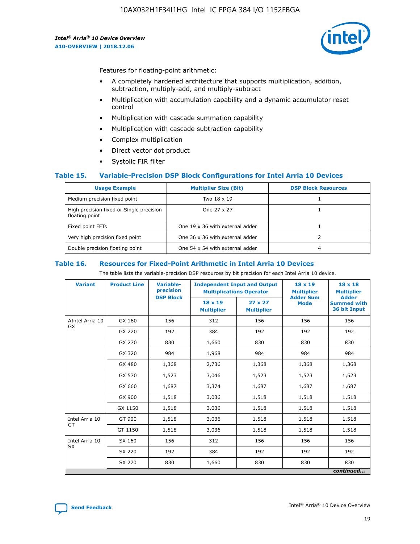

Features for floating-point arithmetic:

- A completely hardened architecture that supports multiplication, addition, subtraction, multiply-add, and multiply-subtract
- Multiplication with accumulation capability and a dynamic accumulator reset control
- Multiplication with cascade summation capability
- Multiplication with cascade subtraction capability
- Complex multiplication
- Direct vector dot product
- Systolic FIR filter

## **Table 15. Variable-Precision DSP Block Configurations for Intel Arria 10 Devices**

| <b>Usage Example</b>                                       | <b>Multiplier Size (Bit)</b>    | <b>DSP Block Resources</b> |
|------------------------------------------------------------|---------------------------------|----------------------------|
| Medium precision fixed point                               | Two 18 x 19                     |                            |
| High precision fixed or Single precision<br>floating point | One 27 x 27                     |                            |
| Fixed point FFTs                                           | One 19 x 36 with external adder |                            |
| Very high precision fixed point                            | One 36 x 36 with external adder |                            |
| Double precision floating point                            | One 54 x 54 with external adder | 4                          |

#### **Table 16. Resources for Fixed-Point Arithmetic in Intel Arria 10 Devices**

The table lists the variable-precision DSP resources by bit precision for each Intel Arria 10 device.

| <b>Variant</b>  | <b>Product Line</b> | <b>Variable-</b><br>precision<br><b>DSP Block</b> | <b>Independent Input and Output</b><br><b>Multiplications Operator</b> |                                     | 18 x 19<br><b>Multiplier</b><br><b>Adder Sum</b> | $18 \times 18$<br><b>Multiplier</b><br><b>Adder</b> |
|-----------------|---------------------|---------------------------------------------------|------------------------------------------------------------------------|-------------------------------------|--------------------------------------------------|-----------------------------------------------------|
|                 |                     |                                                   | 18 x 19<br><b>Multiplier</b>                                           | $27 \times 27$<br><b>Multiplier</b> | <b>Mode</b>                                      | <b>Summed with</b><br>36 bit Input                  |
| AIntel Arria 10 | GX 160              | 156                                               | 312                                                                    | 156                                 | 156                                              | 156                                                 |
| GX              | GX 220              | 192                                               | 384                                                                    | 192                                 | 192                                              | 192                                                 |
|                 | GX 270              | 830                                               | 1,660                                                                  | 830                                 | 830                                              | 830                                                 |
|                 | GX 320              | 984                                               | 1,968                                                                  | 984                                 | 984                                              | 984                                                 |
|                 | GX 480              | 1,368                                             | 2,736                                                                  | 1,368                               | 1,368                                            | 1,368                                               |
|                 | GX 570              | 1,523                                             | 3,046                                                                  | 1,523                               | 1,523                                            | 1,523                                               |
|                 | GX 660              | 1,687                                             | 3,374                                                                  | 1,687                               | 1,687                                            | 1,687                                               |
|                 | GX 900              | 1,518                                             | 3,036                                                                  | 1,518                               | 1,518                                            | 1,518                                               |
|                 | GX 1150             | 1,518                                             | 3,036                                                                  | 1,518                               | 1,518                                            | 1,518                                               |
| Intel Arria 10  | GT 900              | 1,518                                             | 3,036                                                                  | 1,518                               | 1,518                                            | 1,518                                               |
| GT              | GT 1150             | 1,518                                             | 3,036                                                                  | 1,518                               | 1,518                                            | 1,518                                               |
| Intel Arria 10  | SX 160              | 156                                               | 312                                                                    | 156                                 | 156                                              | 156                                                 |
| <b>SX</b>       | SX 220              | 192                                               | 384                                                                    | 192                                 | 192                                              | 192                                                 |
|                 | SX 270              | 830                                               | 1,660                                                                  | 830                                 | 830                                              | 830                                                 |
|                 |                     |                                                   |                                                                        |                                     |                                                  | continued                                           |

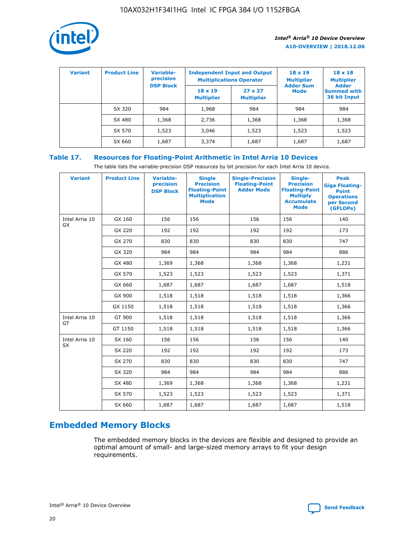

| <b>Variant</b> | <b>Product Line</b> | <b>Variable-</b><br>precision |                                     | <b>Independent Input and Output</b><br><b>Multiplications Operator</b> | $18 \times 19$<br><b>Multiplier</b> | $18 \times 18$<br><b>Multiplier</b>                |
|----------------|---------------------|-------------------------------|-------------------------------------|------------------------------------------------------------------------|-------------------------------------|----------------------------------------------------|
|                |                     | <b>DSP Block</b>              | $18 \times 19$<br><b>Multiplier</b> | $27 \times 27$<br><b>Multiplier</b>                                    | <b>Adder Sum</b><br><b>Mode</b>     | <b>Adder</b><br><b>Summed with</b><br>36 bit Input |
|                | SX 320              | 984                           | 1,968                               | 984                                                                    | 984                                 | 984                                                |
|                | SX 480              | 1,368                         | 2,736                               | 1,368                                                                  | 1,368                               | 1,368                                              |
|                | SX 570              | 1,523                         | 3,046                               | 1,523                                                                  | 1,523                               | 1,523                                              |
|                | SX 660              | 1,687                         | 3,374                               | 1,687                                                                  | 1,687                               | 1,687                                              |

## **Table 17. Resources for Floating-Point Arithmetic in Intel Arria 10 Devices**

The table lists the variable-precision DSP resources by bit precision for each Intel Arria 10 device.

| <b>Variant</b> | <b>Product Line</b> | <b>Variable-</b><br>precision<br><b>DSP Block</b> | <b>Single</b><br><b>Precision</b><br><b>Floating-Point</b><br><b>Multiplication</b><br><b>Mode</b> | <b>Single-Precision</b><br><b>Floating-Point</b><br><b>Adder Mode</b> | Single-<br><b>Precision</b><br><b>Floating-Point</b><br><b>Multiply</b><br><b>Accumulate</b><br><b>Mode</b> | <b>Peak</b><br><b>Giga Floating-</b><br><b>Point</b><br><b>Operations</b><br>per Second<br>(GFLOPs) |
|----------------|---------------------|---------------------------------------------------|----------------------------------------------------------------------------------------------------|-----------------------------------------------------------------------|-------------------------------------------------------------------------------------------------------------|-----------------------------------------------------------------------------------------------------|
| Intel Arria 10 | GX 160              | 156                                               | 156                                                                                                | 156                                                                   | 156                                                                                                         | 140                                                                                                 |
| GX             | GX 220              | 192                                               | 192                                                                                                | 192                                                                   | 192                                                                                                         | 173                                                                                                 |
|                | GX 270              | 830                                               | 830                                                                                                | 830                                                                   | 830                                                                                                         | 747                                                                                                 |
|                | GX 320              | 984                                               | 984                                                                                                | 984                                                                   | 984                                                                                                         | 886                                                                                                 |
|                | GX 480              | 1,369                                             | 1,368                                                                                              | 1,368                                                                 | 1,368                                                                                                       | 1,231                                                                                               |
|                | GX 570              | 1,523                                             | 1,523                                                                                              | 1,523                                                                 | 1,523                                                                                                       | 1,371                                                                                               |
|                | GX 660              | 1,687                                             | 1,687                                                                                              | 1,687                                                                 | 1,687                                                                                                       | 1,518                                                                                               |
|                | GX 900              | 1,518                                             | 1,518                                                                                              | 1,518                                                                 | 1,518                                                                                                       | 1,366                                                                                               |
|                | GX 1150             | 1,518                                             | 1,518                                                                                              | 1,518                                                                 | 1,518                                                                                                       | 1,366                                                                                               |
| Intel Arria 10 | GT 900              | 1,518                                             | 1,518                                                                                              | 1,518                                                                 | 1,518                                                                                                       | 1,366                                                                                               |
| GT             | GT 1150             | 1,518                                             | 1,518                                                                                              | 1,518                                                                 | 1,518                                                                                                       | 1,366                                                                                               |
| Intel Arria 10 | SX 160              | 156                                               | 156                                                                                                | 156                                                                   | 156                                                                                                         | 140                                                                                                 |
| <b>SX</b>      | SX 220              | 192                                               | 192                                                                                                | 192                                                                   | 192                                                                                                         | 173                                                                                                 |
|                | SX 270              | 830                                               | 830                                                                                                | 830                                                                   | 830                                                                                                         | 747                                                                                                 |
|                | SX 320              | 984                                               | 984                                                                                                | 984                                                                   | 984                                                                                                         | 886                                                                                                 |
|                | SX 480              | 1,369                                             | 1,368                                                                                              | 1,368                                                                 | 1,368                                                                                                       | 1,231                                                                                               |
|                | SX 570              | 1,523                                             | 1,523                                                                                              | 1,523                                                                 | 1,523                                                                                                       | 1,371                                                                                               |
|                | SX 660              | 1,687                                             | 1,687                                                                                              | 1,687                                                                 | 1,687                                                                                                       | 1,518                                                                                               |

# **Embedded Memory Blocks**

The embedded memory blocks in the devices are flexible and designed to provide an optimal amount of small- and large-sized memory arrays to fit your design requirements.

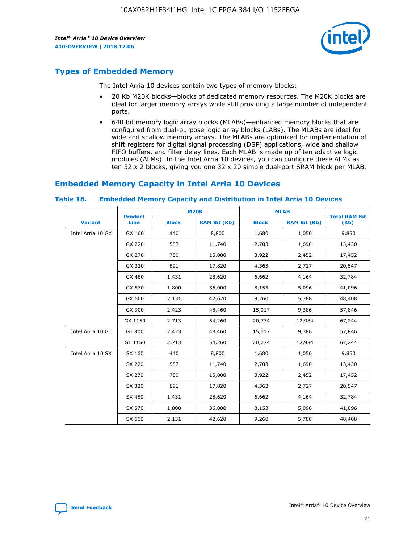

## **Types of Embedded Memory**

The Intel Arria 10 devices contain two types of memory blocks:

- 20 Kb M20K blocks—blocks of dedicated memory resources. The M20K blocks are ideal for larger memory arrays while still providing a large number of independent ports.
- 640 bit memory logic array blocks (MLABs)—enhanced memory blocks that are configured from dual-purpose logic array blocks (LABs). The MLABs are ideal for wide and shallow memory arrays. The MLABs are optimized for implementation of shift registers for digital signal processing (DSP) applications, wide and shallow FIFO buffers, and filter delay lines. Each MLAB is made up of ten adaptive logic modules (ALMs). In the Intel Arria 10 devices, you can configure these ALMs as ten 32 x 2 blocks, giving you one 32 x 20 simple dual-port SRAM block per MLAB.

## **Embedded Memory Capacity in Intel Arria 10 Devices**

|                   | <b>Product</b> |              | <b>M20K</b>         |              | <b>MLAB</b>         | <b>Total RAM Bit</b> |
|-------------------|----------------|--------------|---------------------|--------------|---------------------|----------------------|
| <b>Variant</b>    | Line           | <b>Block</b> | <b>RAM Bit (Kb)</b> | <b>Block</b> | <b>RAM Bit (Kb)</b> | (Kb)                 |
| Intel Arria 10 GX | GX 160         | 440          | 8,800               | 1,680        | 1,050               | 9,850                |
|                   | GX 220         | 587          | 11,740              | 2,703        | 1,690               | 13,430               |
|                   | GX 270         | 750          | 15,000              | 3,922        | 2,452               | 17,452               |
|                   | GX 320         | 891          | 17,820              | 4,363        | 2,727               | 20,547               |
|                   | GX 480         | 1,431        | 28,620              | 6,662        | 4,164               | 32,784               |
|                   | GX 570         | 1,800        | 36,000              | 8,153        | 5,096               | 41,096               |
|                   | GX 660         | 2,131        | 42,620              | 9,260        | 5,788               | 48,408               |
|                   | GX 900         | 2,423        | 48,460              | 15,017       | 9,386               | 57,846               |
|                   | GX 1150        | 2,713        | 54,260              | 20,774       | 12,984              | 67,244               |
| Intel Arria 10 GT | GT 900         | 2,423        | 48,460              | 15,017       | 9,386               | 57,846               |
|                   | GT 1150        | 2,713        | 54,260              | 20,774       | 12,984              | 67,244               |
| Intel Arria 10 SX | SX 160         | 440          | 8,800               | 1,680        | 1,050               | 9,850                |
|                   | SX 220         | 587          | 11,740              | 2,703        | 1,690               | 13,430               |
|                   | SX 270         | 750          | 15,000              | 3,922        | 2,452               | 17,452               |
|                   | SX 320         | 891          | 17,820              | 4,363        | 2,727               | 20,547               |
|                   | SX 480         | 1,431        | 28,620              | 6,662        | 4,164               | 32,784               |
|                   | SX 570         | 1,800        | 36,000              | 8,153        | 5,096               | 41,096               |
|                   | SX 660         | 2,131        | 42,620              | 9,260        | 5,788               | 48,408               |

#### **Table 18. Embedded Memory Capacity and Distribution in Intel Arria 10 Devices**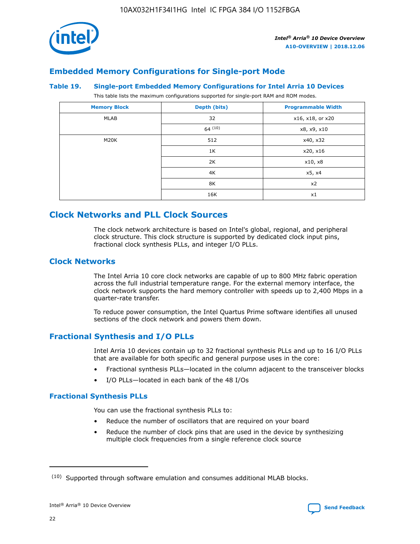

## **Embedded Memory Configurations for Single-port Mode**

#### **Table 19. Single-port Embedded Memory Configurations for Intel Arria 10 Devices**

This table lists the maximum configurations supported for single-port RAM and ROM modes.

| <b>Memory Block</b> | Depth (bits)           | <b>Programmable Width</b> |
|---------------------|------------------------|---------------------------|
| MLAB                | 32<br>x16, x18, or x20 |                           |
|                     | 64(10)                 | x8, x9, x10               |
| M20K                | 512                    | x40, x32                  |
|                     | 1K                     | x20, x16                  |
|                     | 2K                     | x10, x8                   |
|                     | 4K                     | x5, x4                    |
|                     | 8K                     | x2                        |
|                     | 16K                    | x1                        |

## **Clock Networks and PLL Clock Sources**

The clock network architecture is based on Intel's global, regional, and peripheral clock structure. This clock structure is supported by dedicated clock input pins, fractional clock synthesis PLLs, and integer I/O PLLs.

## **Clock Networks**

The Intel Arria 10 core clock networks are capable of up to 800 MHz fabric operation across the full industrial temperature range. For the external memory interface, the clock network supports the hard memory controller with speeds up to 2,400 Mbps in a quarter-rate transfer.

To reduce power consumption, the Intel Quartus Prime software identifies all unused sections of the clock network and powers them down.

## **Fractional Synthesis and I/O PLLs**

Intel Arria 10 devices contain up to 32 fractional synthesis PLLs and up to 16 I/O PLLs that are available for both specific and general purpose uses in the core:

- Fractional synthesis PLLs—located in the column adjacent to the transceiver blocks
- I/O PLLs—located in each bank of the 48 I/Os

## **Fractional Synthesis PLLs**

You can use the fractional synthesis PLLs to:

- Reduce the number of oscillators that are required on your board
- Reduce the number of clock pins that are used in the device by synthesizing multiple clock frequencies from a single reference clock source

<sup>(10)</sup> Supported through software emulation and consumes additional MLAB blocks.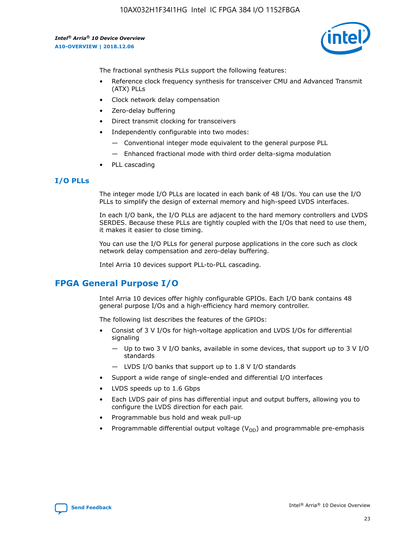

The fractional synthesis PLLs support the following features:

- Reference clock frequency synthesis for transceiver CMU and Advanced Transmit (ATX) PLLs
- Clock network delay compensation
- Zero-delay buffering
- Direct transmit clocking for transceivers
- Independently configurable into two modes:
	- Conventional integer mode equivalent to the general purpose PLL
	- Enhanced fractional mode with third order delta-sigma modulation
- PLL cascading

## **I/O PLLs**

The integer mode I/O PLLs are located in each bank of 48 I/Os. You can use the I/O PLLs to simplify the design of external memory and high-speed LVDS interfaces.

In each I/O bank, the I/O PLLs are adjacent to the hard memory controllers and LVDS SERDES. Because these PLLs are tightly coupled with the I/Os that need to use them, it makes it easier to close timing.

You can use the I/O PLLs for general purpose applications in the core such as clock network delay compensation and zero-delay buffering.

Intel Arria 10 devices support PLL-to-PLL cascading.

## **FPGA General Purpose I/O**

Intel Arria 10 devices offer highly configurable GPIOs. Each I/O bank contains 48 general purpose I/Os and a high-efficiency hard memory controller.

The following list describes the features of the GPIOs:

- Consist of 3 V I/Os for high-voltage application and LVDS I/Os for differential signaling
	- Up to two 3 V I/O banks, available in some devices, that support up to 3 V I/O standards
	- LVDS I/O banks that support up to 1.8 V I/O standards
- Support a wide range of single-ended and differential I/O interfaces
- LVDS speeds up to 1.6 Gbps
- Each LVDS pair of pins has differential input and output buffers, allowing you to configure the LVDS direction for each pair.
- Programmable bus hold and weak pull-up
- Programmable differential output voltage  $(V_{OD})$  and programmable pre-emphasis

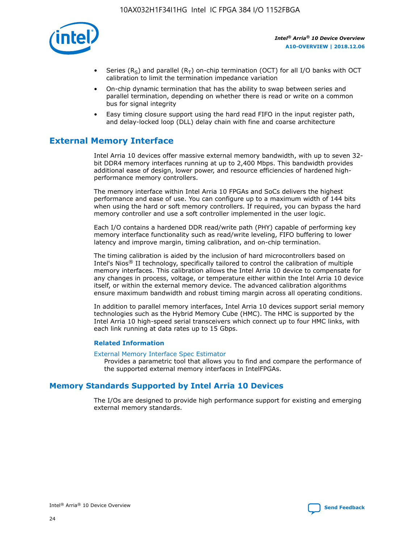

- Series (R<sub>S</sub>) and parallel (R<sub>T</sub>) on-chip termination (OCT) for all I/O banks with OCT calibration to limit the termination impedance variation
- On-chip dynamic termination that has the ability to swap between series and parallel termination, depending on whether there is read or write on a common bus for signal integrity
- Easy timing closure support using the hard read FIFO in the input register path, and delay-locked loop (DLL) delay chain with fine and coarse architecture

## **External Memory Interface**

Intel Arria 10 devices offer massive external memory bandwidth, with up to seven 32 bit DDR4 memory interfaces running at up to 2,400 Mbps. This bandwidth provides additional ease of design, lower power, and resource efficiencies of hardened highperformance memory controllers.

The memory interface within Intel Arria 10 FPGAs and SoCs delivers the highest performance and ease of use. You can configure up to a maximum width of 144 bits when using the hard or soft memory controllers. If required, you can bypass the hard memory controller and use a soft controller implemented in the user logic.

Each I/O contains a hardened DDR read/write path (PHY) capable of performing key memory interface functionality such as read/write leveling, FIFO buffering to lower latency and improve margin, timing calibration, and on-chip termination.

The timing calibration is aided by the inclusion of hard microcontrollers based on Intel's Nios® II technology, specifically tailored to control the calibration of multiple memory interfaces. This calibration allows the Intel Arria 10 device to compensate for any changes in process, voltage, or temperature either within the Intel Arria 10 device itself, or within the external memory device. The advanced calibration algorithms ensure maximum bandwidth and robust timing margin across all operating conditions.

In addition to parallel memory interfaces, Intel Arria 10 devices support serial memory technologies such as the Hybrid Memory Cube (HMC). The HMC is supported by the Intel Arria 10 high-speed serial transceivers which connect up to four HMC links, with each link running at data rates up to 15 Gbps.

## **Related Information**

#### [External Memory Interface Spec Estimator](http://www.altera.com/technology/memory/estimator/mem-emif-index.html)

Provides a parametric tool that allows you to find and compare the performance of the supported external memory interfaces in IntelFPGAs.

## **Memory Standards Supported by Intel Arria 10 Devices**

The I/Os are designed to provide high performance support for existing and emerging external memory standards.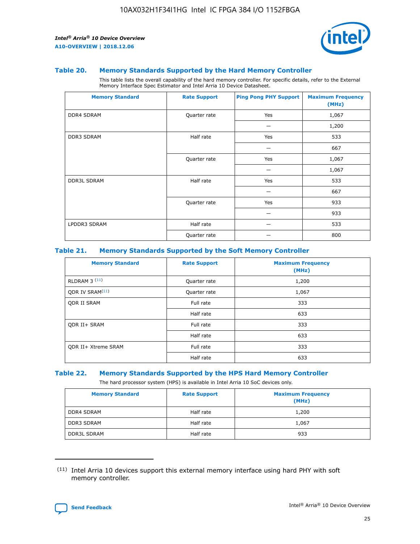

#### **Table 20. Memory Standards Supported by the Hard Memory Controller**

This table lists the overall capability of the hard memory controller. For specific details, refer to the External Memory Interface Spec Estimator and Intel Arria 10 Device Datasheet.

| <b>Memory Standard</b> | <b>Rate Support</b> | <b>Ping Pong PHY Support</b> | <b>Maximum Frequency</b><br>(MHz) |
|------------------------|---------------------|------------------------------|-----------------------------------|
| <b>DDR4 SDRAM</b>      | Quarter rate        | Yes                          | 1,067                             |
|                        |                     |                              | 1,200                             |
| DDR3 SDRAM             | Half rate           | Yes                          | 533                               |
|                        |                     |                              | 667                               |
|                        | Quarter rate        | Yes                          | 1,067                             |
|                        |                     |                              | 1,067                             |
| <b>DDR3L SDRAM</b>     | Half rate           | Yes                          | 533                               |
|                        |                     |                              | 667                               |
|                        | Quarter rate        | Yes                          | 933                               |
|                        |                     |                              | 933                               |
| LPDDR3 SDRAM           | Half rate           |                              | 533                               |
|                        | Quarter rate        |                              | 800                               |

#### **Table 21. Memory Standards Supported by the Soft Memory Controller**

| <b>Memory Standard</b>      | <b>Rate Support</b> | <b>Maximum Frequency</b><br>(MHz) |
|-----------------------------|---------------------|-----------------------------------|
| <b>RLDRAM 3 (11)</b>        | Quarter rate        | 1,200                             |
| ODR IV SRAM <sup>(11)</sup> | Quarter rate        | 1,067                             |
| <b>ODR II SRAM</b>          | Full rate           | 333                               |
|                             | Half rate           | 633                               |
| <b>ODR II+ SRAM</b>         | Full rate           | 333                               |
|                             | Half rate           | 633                               |
| <b>ODR II+ Xtreme SRAM</b>  | Full rate           | 333                               |
|                             | Half rate           | 633                               |

#### **Table 22. Memory Standards Supported by the HPS Hard Memory Controller**

The hard processor system (HPS) is available in Intel Arria 10 SoC devices only.

| <b>Memory Standard</b> | <b>Rate Support</b> | <b>Maximum Frequency</b><br>(MHz) |
|------------------------|---------------------|-----------------------------------|
| <b>DDR4 SDRAM</b>      | Half rate           | 1,200                             |
| <b>DDR3 SDRAM</b>      | Half rate           | 1,067                             |
| <b>DDR3L SDRAM</b>     | Half rate           | 933                               |

<sup>(11)</sup> Intel Arria 10 devices support this external memory interface using hard PHY with soft memory controller.

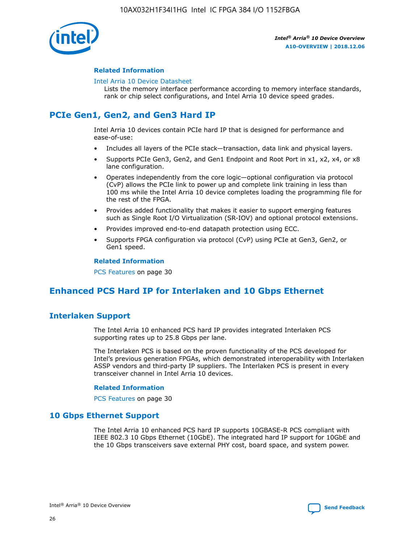

## **Related Information**

#### [Intel Arria 10 Device Datasheet](https://www.intel.com/content/www/us/en/programmable/documentation/mcn1413182292568.html#mcn1413182153340)

Lists the memory interface performance according to memory interface standards, rank or chip select configurations, and Intel Arria 10 device speed grades.

## **PCIe Gen1, Gen2, and Gen3 Hard IP**

Intel Arria 10 devices contain PCIe hard IP that is designed for performance and ease-of-use:

- Includes all layers of the PCIe stack—transaction, data link and physical layers.
- Supports PCIe Gen3, Gen2, and Gen1 Endpoint and Root Port in x1, x2, x4, or x8 lane configuration.
- Operates independently from the core logic—optional configuration via protocol (CvP) allows the PCIe link to power up and complete link training in less than 100 ms while the Intel Arria 10 device completes loading the programming file for the rest of the FPGA.
- Provides added functionality that makes it easier to support emerging features such as Single Root I/O Virtualization (SR-IOV) and optional protocol extensions.
- Provides improved end-to-end datapath protection using ECC.
- Supports FPGA configuration via protocol (CvP) using PCIe at Gen3, Gen2, or Gen1 speed.

#### **Related Information**

PCS Features on page 30

## **Enhanced PCS Hard IP for Interlaken and 10 Gbps Ethernet**

## **Interlaken Support**

The Intel Arria 10 enhanced PCS hard IP provides integrated Interlaken PCS supporting rates up to 25.8 Gbps per lane.

The Interlaken PCS is based on the proven functionality of the PCS developed for Intel's previous generation FPGAs, which demonstrated interoperability with Interlaken ASSP vendors and third-party IP suppliers. The Interlaken PCS is present in every transceiver channel in Intel Arria 10 devices.

## **Related Information**

PCS Features on page 30

## **10 Gbps Ethernet Support**

The Intel Arria 10 enhanced PCS hard IP supports 10GBASE-R PCS compliant with IEEE 802.3 10 Gbps Ethernet (10GbE). The integrated hard IP support for 10GbE and the 10 Gbps transceivers save external PHY cost, board space, and system power.

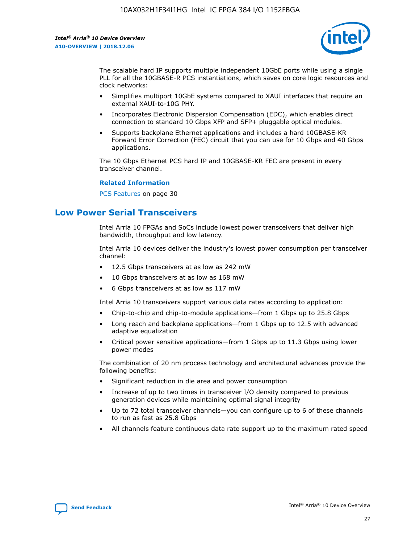

The scalable hard IP supports multiple independent 10GbE ports while using a single PLL for all the 10GBASE-R PCS instantiations, which saves on core logic resources and clock networks:

- Simplifies multiport 10GbE systems compared to XAUI interfaces that require an external XAUI-to-10G PHY.
- Incorporates Electronic Dispersion Compensation (EDC), which enables direct connection to standard 10 Gbps XFP and SFP+ pluggable optical modules.
- Supports backplane Ethernet applications and includes a hard 10GBASE-KR Forward Error Correction (FEC) circuit that you can use for 10 Gbps and 40 Gbps applications.

The 10 Gbps Ethernet PCS hard IP and 10GBASE-KR FEC are present in every transceiver channel.

#### **Related Information**

PCS Features on page 30

## **Low Power Serial Transceivers**

Intel Arria 10 FPGAs and SoCs include lowest power transceivers that deliver high bandwidth, throughput and low latency.

Intel Arria 10 devices deliver the industry's lowest power consumption per transceiver channel:

- 12.5 Gbps transceivers at as low as 242 mW
- 10 Gbps transceivers at as low as 168 mW
- 6 Gbps transceivers at as low as 117 mW

Intel Arria 10 transceivers support various data rates according to application:

- Chip-to-chip and chip-to-module applications—from 1 Gbps up to 25.8 Gbps
- Long reach and backplane applications—from 1 Gbps up to 12.5 with advanced adaptive equalization
- Critical power sensitive applications—from 1 Gbps up to 11.3 Gbps using lower power modes

The combination of 20 nm process technology and architectural advances provide the following benefits:

- Significant reduction in die area and power consumption
- Increase of up to two times in transceiver I/O density compared to previous generation devices while maintaining optimal signal integrity
- Up to 72 total transceiver channels—you can configure up to 6 of these channels to run as fast as 25.8 Gbps
- All channels feature continuous data rate support up to the maximum rated speed

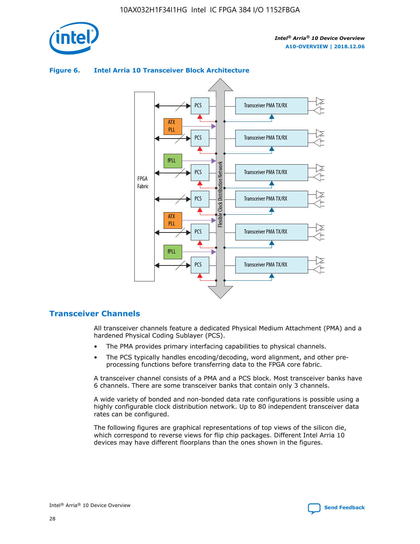





## **Transceiver Channels**

All transceiver channels feature a dedicated Physical Medium Attachment (PMA) and a hardened Physical Coding Sublayer (PCS).

- The PMA provides primary interfacing capabilities to physical channels.
- The PCS typically handles encoding/decoding, word alignment, and other preprocessing functions before transferring data to the FPGA core fabric.

A transceiver channel consists of a PMA and a PCS block. Most transceiver banks have 6 channels. There are some transceiver banks that contain only 3 channels.

A wide variety of bonded and non-bonded data rate configurations is possible using a highly configurable clock distribution network. Up to 80 independent transceiver data rates can be configured.

The following figures are graphical representations of top views of the silicon die, which correspond to reverse views for flip chip packages. Different Intel Arria 10 devices may have different floorplans than the ones shown in the figures.

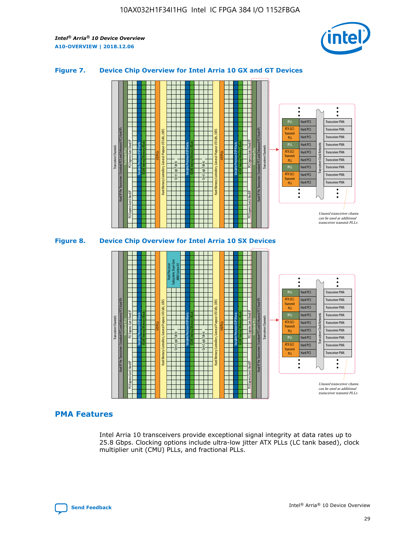

## **Figure 7. Device Chip Overview for Intel Arria 10 GX and GT Devices**





## **PMA Features**

Intel Arria 10 transceivers provide exceptional signal integrity at data rates up to 25.8 Gbps. Clocking options include ultra-low jitter ATX PLLs (LC tank based), clock multiplier unit (CMU) PLLs, and fractional PLLs.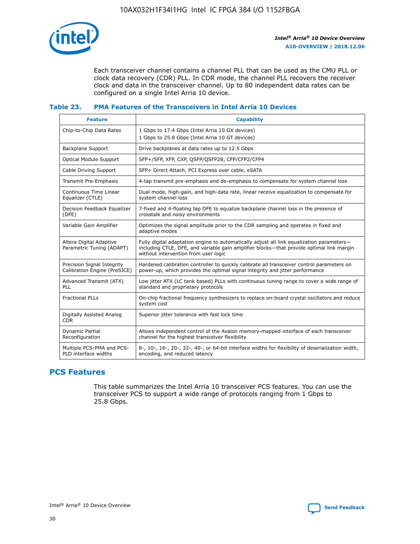

Each transceiver channel contains a channel PLL that can be used as the CMU PLL or clock data recovery (CDR) PLL. In CDR mode, the channel PLL recovers the receiver clock and data in the transceiver channel. Up to 80 independent data rates can be configured on a single Intel Arria 10 device.

## **Table 23. PMA Features of the Transceivers in Intel Arria 10 Devices**

| <b>Feature</b>                                             | <b>Capability</b>                                                                                                                                                                                                             |
|------------------------------------------------------------|-------------------------------------------------------------------------------------------------------------------------------------------------------------------------------------------------------------------------------|
| Chip-to-Chip Data Rates                                    | 1 Gbps to 17.4 Gbps (Intel Arria 10 GX devices)<br>1 Gbps to 25.8 Gbps (Intel Arria 10 GT devices)                                                                                                                            |
| <b>Backplane Support</b>                                   | Drive backplanes at data rates up to 12.5 Gbps                                                                                                                                                                                |
| <b>Optical Module Support</b>                              | SFP+/SFP, XFP, CXP, QSFP/QSFP28, CFP/CFP2/CFP4                                                                                                                                                                                |
| Cable Driving Support                                      | SFP+ Direct Attach, PCI Express over cable, eSATA                                                                                                                                                                             |
| Transmit Pre-Emphasis                                      | 4-tap transmit pre-emphasis and de-emphasis to compensate for system channel loss                                                                                                                                             |
| Continuous Time Linear<br>Equalizer (CTLE)                 | Dual mode, high-gain, and high-data rate, linear receive equalization to compensate for<br>system channel loss                                                                                                                |
| Decision Feedback Equalizer<br>(DFE)                       | 7-fixed and 4-floating tap DFE to equalize backplane channel loss in the presence of<br>crosstalk and noisy environments                                                                                                      |
| Variable Gain Amplifier                                    | Optimizes the signal amplitude prior to the CDR sampling and operates in fixed and<br>adaptive modes                                                                                                                          |
| Altera Digital Adaptive<br>Parametric Tuning (ADAPT)       | Fully digital adaptation engine to automatically adjust all link equalization parameters-<br>including CTLE, DFE, and variable gain amplifier blocks—that provide optimal link margin<br>without intervention from user logic |
| Precision Signal Integrity<br>Calibration Engine (PreSICE) | Hardened calibration controller to quickly calibrate all transceiver control parameters on<br>power-up, which provides the optimal signal integrity and jitter performance                                                    |
| Advanced Transmit (ATX)<br>PLL                             | Low jitter ATX (LC tank based) PLLs with continuous tuning range to cover a wide range of<br>standard and proprietary protocols                                                                                               |
| <b>Fractional PLLs</b>                                     | On-chip fractional frequency synthesizers to replace on-board crystal oscillators and reduce<br>system cost                                                                                                                   |
| Digitally Assisted Analog<br><b>CDR</b>                    | Superior jitter tolerance with fast lock time                                                                                                                                                                                 |
| Dynamic Partial<br>Reconfiguration                         | Allows independent control of the Avalon memory-mapped interface of each transceiver<br>channel for the highest transceiver flexibility                                                                                       |
| Multiple PCS-PMA and PCS-<br>PLD interface widths          | 8-, 10-, 16-, 20-, 32-, 40-, or 64-bit interface widths for flexibility of deserialization width,<br>encoding, and reduced latency                                                                                            |

## **PCS Features**

This table summarizes the Intel Arria 10 transceiver PCS features. You can use the transceiver PCS to support a wide range of protocols ranging from 1 Gbps to 25.8 Gbps.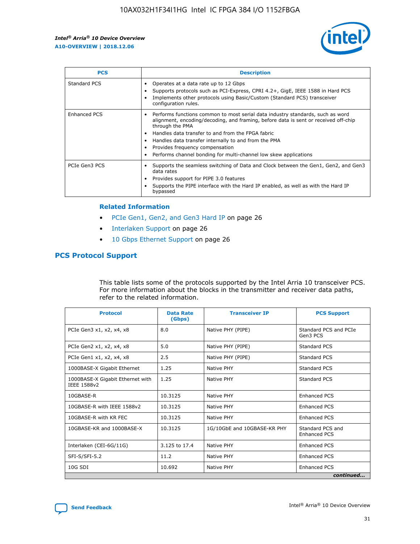

| <b>PCS</b>    | <b>Description</b>                                                                                                                                                                                                                                                                                                                                                                                             |
|---------------|----------------------------------------------------------------------------------------------------------------------------------------------------------------------------------------------------------------------------------------------------------------------------------------------------------------------------------------------------------------------------------------------------------------|
| Standard PCS  | Operates at a data rate up to 12 Gbps<br>Supports protocols such as PCI-Express, CPRI 4.2+, GigE, IEEE 1588 in Hard PCS<br>Implements other protocols using Basic/Custom (Standard PCS) transceiver<br>configuration rules.                                                                                                                                                                                    |
| Enhanced PCS  | Performs functions common to most serial data industry standards, such as word<br>alignment, encoding/decoding, and framing, before data is sent or received off-chip<br>through the PMA<br>• Handles data transfer to and from the FPGA fabric<br>Handles data transfer internally to and from the PMA<br>Provides frequency compensation<br>Performs channel bonding for multi-channel low skew applications |
| PCIe Gen3 PCS | Supports the seamless switching of Data and Clock between the Gen1, Gen2, and Gen3<br>data rates<br>Provides support for PIPE 3.0 features<br>Supports the PIPE interface with the Hard IP enabled, as well as with the Hard IP<br>bypassed                                                                                                                                                                    |

#### **Related Information**

- PCIe Gen1, Gen2, and Gen3 Hard IP on page 26
- Interlaken Support on page 26
- 10 Gbps Ethernet Support on page 26

## **PCS Protocol Support**

This table lists some of the protocols supported by the Intel Arria 10 transceiver PCS. For more information about the blocks in the transmitter and receiver data paths, refer to the related information.

| <b>Protocol</b>                                 | <b>Data Rate</b><br>(Gbps) | <b>Transceiver IP</b>       | <b>PCS Support</b>                      |
|-------------------------------------------------|----------------------------|-----------------------------|-----------------------------------------|
| PCIe Gen3 x1, x2, x4, x8                        | 8.0                        | Native PHY (PIPE)           | Standard PCS and PCIe<br>Gen3 PCS       |
| PCIe Gen2 x1, x2, x4, x8                        | 5.0                        | Native PHY (PIPE)           | <b>Standard PCS</b>                     |
| PCIe Gen1 x1, x2, x4, x8                        | 2.5                        | Native PHY (PIPE)           | Standard PCS                            |
| 1000BASE-X Gigabit Ethernet                     | 1.25                       | Native PHY                  | <b>Standard PCS</b>                     |
| 1000BASE-X Gigabit Ethernet with<br>IEEE 1588v2 | 1.25                       | Native PHY                  | Standard PCS                            |
| 10GBASE-R                                       | 10.3125                    | Native PHY                  | <b>Enhanced PCS</b>                     |
| 10GBASE-R with IEEE 1588v2                      | 10.3125                    | Native PHY                  | <b>Enhanced PCS</b>                     |
| 10GBASE-R with KR FEC                           | 10.3125                    | Native PHY                  | <b>Enhanced PCS</b>                     |
| 10GBASE-KR and 1000BASE-X                       | 10.3125                    | 1G/10GbE and 10GBASE-KR PHY | Standard PCS and<br><b>Enhanced PCS</b> |
| Interlaken (CEI-6G/11G)                         | 3.125 to 17.4              | Native PHY                  | <b>Enhanced PCS</b>                     |
| SFI-S/SFI-5.2                                   | 11.2                       | Native PHY                  | <b>Enhanced PCS</b>                     |
| $10G$ SDI                                       | 10.692                     | Native PHY                  | <b>Enhanced PCS</b>                     |
|                                                 |                            |                             | continued                               |

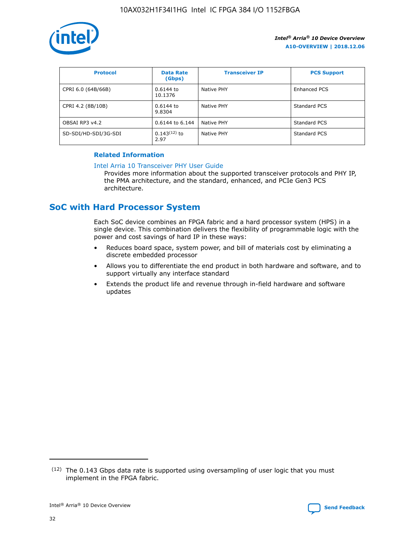

| <b>Protocol</b>      | <b>Data Rate</b><br>(Gbps) | <b>Transceiver IP</b> | <b>PCS Support</b> |
|----------------------|----------------------------|-----------------------|--------------------|
| CPRI 6.0 (64B/66B)   | 0.6144 to<br>10.1376       | Native PHY            | Enhanced PCS       |
| CPRI 4.2 (8B/10B)    | 0.6144 to<br>9.8304        | Native PHY            | Standard PCS       |
| OBSAI RP3 v4.2       | 0.6144 to 6.144            | Native PHY            | Standard PCS       |
| SD-SDI/HD-SDI/3G-SDI | $0.143(12)$ to<br>2.97     | Native PHY            | Standard PCS       |

## **Related Information**

#### [Intel Arria 10 Transceiver PHY User Guide](https://www.intel.com/content/www/us/en/programmable/documentation/nik1398707230472.html#nik1398707091164)

Provides more information about the supported transceiver protocols and PHY IP, the PMA architecture, and the standard, enhanced, and PCIe Gen3 PCS architecture.

## **SoC with Hard Processor System**

Each SoC device combines an FPGA fabric and a hard processor system (HPS) in a single device. This combination delivers the flexibility of programmable logic with the power and cost savings of hard IP in these ways:

- Reduces board space, system power, and bill of materials cost by eliminating a discrete embedded processor
- Allows you to differentiate the end product in both hardware and software, and to support virtually any interface standard
- Extends the product life and revenue through in-field hardware and software updates

 $(12)$  The 0.143 Gbps data rate is supported using oversampling of user logic that you must implement in the FPGA fabric.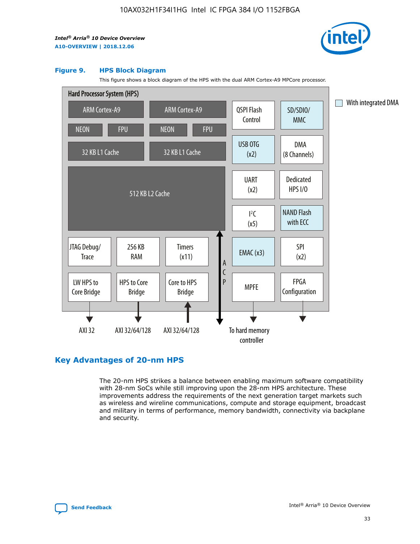

#### **Figure 9. HPS Block Diagram**

This figure shows a block diagram of the HPS with the dual ARM Cortex-A9 MPCore processor.



## **Key Advantages of 20-nm HPS**

The 20-nm HPS strikes a balance between enabling maximum software compatibility with 28-nm SoCs while still improving upon the 28-nm HPS architecture. These improvements address the requirements of the next generation target markets such as wireless and wireline communications, compute and storage equipment, broadcast and military in terms of performance, memory bandwidth, connectivity via backplane and security.

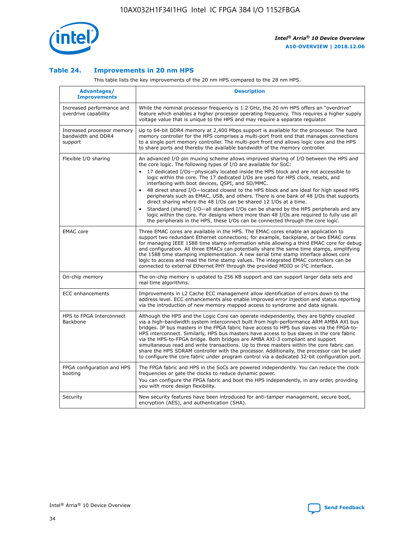

## **Table 24. Improvements in 20 nm HPS**

This table lists the key improvements of the 20 nm HPS compared to the 28 nm HPS.

| Advantages/<br><b>Improvements</b>                          | <b>Description</b>                                                                                                                                                                                                                                                                                                                                                                                                                                                                                                                                                                                                                                                                                                                                                                                                                                                                                                                                |
|-------------------------------------------------------------|---------------------------------------------------------------------------------------------------------------------------------------------------------------------------------------------------------------------------------------------------------------------------------------------------------------------------------------------------------------------------------------------------------------------------------------------------------------------------------------------------------------------------------------------------------------------------------------------------------------------------------------------------------------------------------------------------------------------------------------------------------------------------------------------------------------------------------------------------------------------------------------------------------------------------------------------------|
| Increased performance and<br>overdrive capability           | While the nominal processor frequency is 1.2 GHz, the 20 nm HPS offers an "overdrive"<br>feature which enables a higher processor operating frequency. This requires a higher supply<br>voltage value that is unique to the HPS and may require a separate regulator.                                                                                                                                                                                                                                                                                                                                                                                                                                                                                                                                                                                                                                                                             |
| Increased processor memory<br>bandwidth and DDR4<br>support | Up to 64-bit DDR4 memory at 2,400 Mbps support is available for the processor. The hard<br>memory controller for the HPS comprises a multi-port front end that manages connections<br>to a single port memory controller. The multi-port front end allows logic core and the HPS<br>to share ports and thereby the available bandwidth of the memory controller.                                                                                                                                                                                                                                                                                                                                                                                                                                                                                                                                                                                  |
| Flexible I/O sharing                                        | An advanced I/O pin muxing scheme allows improved sharing of I/O between the HPS and<br>the core logic. The following types of I/O are available for SoC:<br>$\bullet$<br>17 dedicated I/Os-physically located inside the HPS block and are not accessible to<br>logic within the core. The 17 dedicated I/Os are used for HPS clock, resets, and<br>interfacing with boot devices, QSPI, and SD/MMC.<br>48 direct shared I/O-located closest to the HPS block and are ideal for high speed HPS<br>$\bullet$<br>peripherals such as EMAC, USB, and others. There is one bank of 48 I/Os that supports<br>direct sharing where the 48 I/Os can be shared 12 I/Os at a time.<br>Standard (shared) I/O-all standard I/Os can be shared by the HPS peripherals and any<br>logic within the core. For designs where more than 48 I/Os are required to fully use all<br>the peripherals in the HPS, these I/Os can be connected through the core logic. |
| <b>EMAC</b> core                                            | Three EMAC cores are available in the HPS. The EMAC cores enable an application to<br>support two redundant Ethernet connections; for example, backplane, or two EMAC cores<br>for managing IEEE 1588 time stamp information while allowing a third EMAC core for debug<br>and configuration. All three EMACs can potentially share the same time stamps, simplifying<br>the 1588 time stamping implementation. A new serial time stamp interface allows core<br>logic to access and read the time stamp values. The integrated EMAC controllers can be<br>connected to external Ethernet PHY through the provided MDIO or I <sup>2</sup> C interface.                                                                                                                                                                                                                                                                                            |
| On-chip memory                                              | The on-chip memory is updated to 256 KB support and can support larger data sets and<br>real time algorithms.                                                                                                                                                                                                                                                                                                                                                                                                                                                                                                                                                                                                                                                                                                                                                                                                                                     |
| <b>ECC</b> enhancements                                     | Improvements in L2 Cache ECC management allow identification of errors down to the<br>address level. ECC enhancements also enable improved error injection and status reporting<br>via the introduction of new memory mapped access to syndrome and data signals.                                                                                                                                                                                                                                                                                                                                                                                                                                                                                                                                                                                                                                                                                 |
| HPS to FPGA Interconnect<br>Backbone                        | Although the HPS and the Logic Core can operate independently, they are tightly coupled<br>via a high-bandwidth system interconnect built from high-performance ARM AMBA AXI bus<br>bridges. IP bus masters in the FPGA fabric have access to HPS bus slaves via the FPGA-to-<br>HPS interconnect. Similarly, HPS bus masters have access to bus slaves in the core fabric<br>via the HPS-to-FPGA bridge. Both bridges are AMBA AXI-3 compliant and support<br>simultaneous read and write transactions. Up to three masters within the core fabric can<br>share the HPS SDRAM controller with the processor. Additionally, the processor can be used<br>to configure the core fabric under program control via a dedicated 32-bit configuration port.                                                                                                                                                                                            |
| FPGA configuration and HPS<br>booting                       | The FPGA fabric and HPS in the SoCs are powered independently. You can reduce the clock<br>frequencies or gate the clocks to reduce dynamic power.<br>You can configure the FPGA fabric and boot the HPS independently, in any order, providing<br>you with more design flexibility.                                                                                                                                                                                                                                                                                                                                                                                                                                                                                                                                                                                                                                                              |
| Security                                                    | New security features have been introduced for anti-tamper management, secure boot,<br>encryption (AES), and authentication (SHA).                                                                                                                                                                                                                                                                                                                                                                                                                                                                                                                                                                                                                                                                                                                                                                                                                |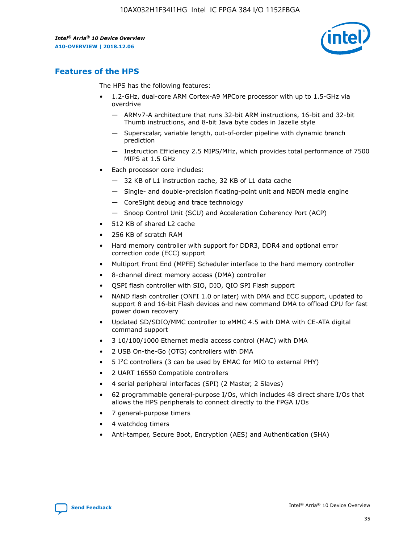

## **Features of the HPS**

The HPS has the following features:

- 1.2-GHz, dual-core ARM Cortex-A9 MPCore processor with up to 1.5-GHz via overdrive
	- ARMv7-A architecture that runs 32-bit ARM instructions, 16-bit and 32-bit Thumb instructions, and 8-bit Java byte codes in Jazelle style
	- Superscalar, variable length, out-of-order pipeline with dynamic branch prediction
	- Instruction Efficiency 2.5 MIPS/MHz, which provides total performance of 7500 MIPS at 1.5 GHz
- Each processor core includes:
	- 32 KB of L1 instruction cache, 32 KB of L1 data cache
	- Single- and double-precision floating-point unit and NEON media engine
	- CoreSight debug and trace technology
	- Snoop Control Unit (SCU) and Acceleration Coherency Port (ACP)
- 512 KB of shared L2 cache
- 256 KB of scratch RAM
- Hard memory controller with support for DDR3, DDR4 and optional error correction code (ECC) support
- Multiport Front End (MPFE) Scheduler interface to the hard memory controller
- 8-channel direct memory access (DMA) controller
- QSPI flash controller with SIO, DIO, QIO SPI Flash support
- NAND flash controller (ONFI 1.0 or later) with DMA and ECC support, updated to support 8 and 16-bit Flash devices and new command DMA to offload CPU for fast power down recovery
- Updated SD/SDIO/MMC controller to eMMC 4.5 with DMA with CE-ATA digital command support
- 3 10/100/1000 Ethernet media access control (MAC) with DMA
- 2 USB On-the-Go (OTG) controllers with DMA
- $\bullet$  5 I<sup>2</sup>C controllers (3 can be used by EMAC for MIO to external PHY)
- 2 UART 16550 Compatible controllers
- 4 serial peripheral interfaces (SPI) (2 Master, 2 Slaves)
- 62 programmable general-purpose I/Os, which includes 48 direct share I/Os that allows the HPS peripherals to connect directly to the FPGA I/Os
- 7 general-purpose timers
- 4 watchdog timers
- Anti-tamper, Secure Boot, Encryption (AES) and Authentication (SHA)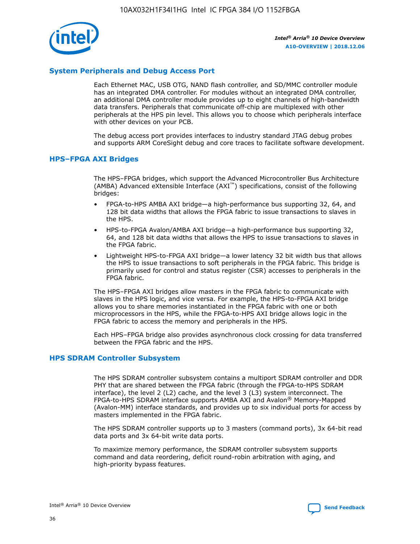

## **System Peripherals and Debug Access Port**

Each Ethernet MAC, USB OTG, NAND flash controller, and SD/MMC controller module has an integrated DMA controller. For modules without an integrated DMA controller, an additional DMA controller module provides up to eight channels of high-bandwidth data transfers. Peripherals that communicate off-chip are multiplexed with other peripherals at the HPS pin level. This allows you to choose which peripherals interface with other devices on your PCB.

The debug access port provides interfaces to industry standard JTAG debug probes and supports ARM CoreSight debug and core traces to facilitate software development.

#### **HPS–FPGA AXI Bridges**

The HPS–FPGA bridges, which support the Advanced Microcontroller Bus Architecture (AMBA) Advanced eXtensible Interface (AXI™) specifications, consist of the following bridges:

- FPGA-to-HPS AMBA AXI bridge—a high-performance bus supporting 32, 64, and 128 bit data widths that allows the FPGA fabric to issue transactions to slaves in the HPS.
- HPS-to-FPGA Avalon/AMBA AXI bridge—a high-performance bus supporting 32, 64, and 128 bit data widths that allows the HPS to issue transactions to slaves in the FPGA fabric.
- Lightweight HPS-to-FPGA AXI bridge—a lower latency 32 bit width bus that allows the HPS to issue transactions to soft peripherals in the FPGA fabric. This bridge is primarily used for control and status register (CSR) accesses to peripherals in the FPGA fabric.

The HPS–FPGA AXI bridges allow masters in the FPGA fabric to communicate with slaves in the HPS logic, and vice versa. For example, the HPS-to-FPGA AXI bridge allows you to share memories instantiated in the FPGA fabric with one or both microprocessors in the HPS, while the FPGA-to-HPS AXI bridge allows logic in the FPGA fabric to access the memory and peripherals in the HPS.

Each HPS–FPGA bridge also provides asynchronous clock crossing for data transferred between the FPGA fabric and the HPS.

#### **HPS SDRAM Controller Subsystem**

The HPS SDRAM controller subsystem contains a multiport SDRAM controller and DDR PHY that are shared between the FPGA fabric (through the FPGA-to-HPS SDRAM interface), the level 2 (L2) cache, and the level 3 (L3) system interconnect. The FPGA-to-HPS SDRAM interface supports AMBA AXI and Avalon® Memory-Mapped (Avalon-MM) interface standards, and provides up to six individual ports for access by masters implemented in the FPGA fabric.

The HPS SDRAM controller supports up to 3 masters (command ports), 3x 64-bit read data ports and 3x 64-bit write data ports.

To maximize memory performance, the SDRAM controller subsystem supports command and data reordering, deficit round-robin arbitration with aging, and high-priority bypass features.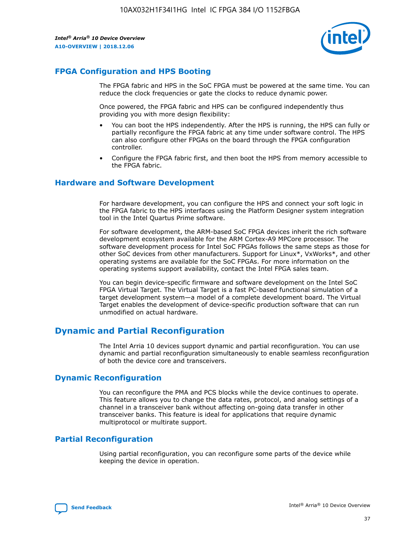

## **FPGA Configuration and HPS Booting**

The FPGA fabric and HPS in the SoC FPGA must be powered at the same time. You can reduce the clock frequencies or gate the clocks to reduce dynamic power.

Once powered, the FPGA fabric and HPS can be configured independently thus providing you with more design flexibility:

- You can boot the HPS independently. After the HPS is running, the HPS can fully or partially reconfigure the FPGA fabric at any time under software control. The HPS can also configure other FPGAs on the board through the FPGA configuration controller.
- Configure the FPGA fabric first, and then boot the HPS from memory accessible to the FPGA fabric.

## **Hardware and Software Development**

For hardware development, you can configure the HPS and connect your soft logic in the FPGA fabric to the HPS interfaces using the Platform Designer system integration tool in the Intel Quartus Prime software.

For software development, the ARM-based SoC FPGA devices inherit the rich software development ecosystem available for the ARM Cortex-A9 MPCore processor. The software development process for Intel SoC FPGAs follows the same steps as those for other SoC devices from other manufacturers. Support for Linux\*, VxWorks\*, and other operating systems are available for the SoC FPGAs. For more information on the operating systems support availability, contact the Intel FPGA sales team.

You can begin device-specific firmware and software development on the Intel SoC FPGA Virtual Target. The Virtual Target is a fast PC-based functional simulation of a target development system—a model of a complete development board. The Virtual Target enables the development of device-specific production software that can run unmodified on actual hardware.

## **Dynamic and Partial Reconfiguration**

The Intel Arria 10 devices support dynamic and partial reconfiguration. You can use dynamic and partial reconfiguration simultaneously to enable seamless reconfiguration of both the device core and transceivers.

## **Dynamic Reconfiguration**

You can reconfigure the PMA and PCS blocks while the device continues to operate. This feature allows you to change the data rates, protocol, and analog settings of a channel in a transceiver bank without affecting on-going data transfer in other transceiver banks. This feature is ideal for applications that require dynamic multiprotocol or multirate support.

## **Partial Reconfiguration**

Using partial reconfiguration, you can reconfigure some parts of the device while keeping the device in operation.

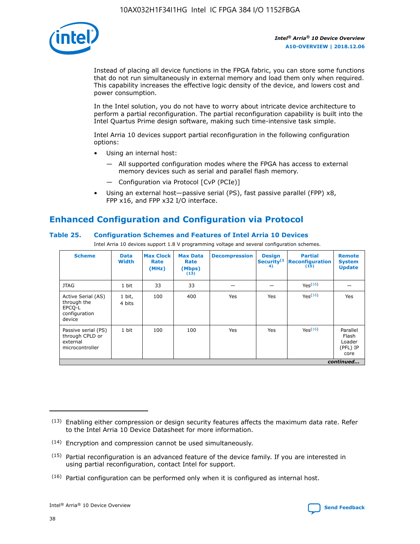

Instead of placing all device functions in the FPGA fabric, you can store some functions that do not run simultaneously in external memory and load them only when required. This capability increases the effective logic density of the device, and lowers cost and power consumption.

In the Intel solution, you do not have to worry about intricate device architecture to perform a partial reconfiguration. The partial reconfiguration capability is built into the Intel Quartus Prime design software, making such time-intensive task simple.

Intel Arria 10 devices support partial reconfiguration in the following configuration options:

- Using an internal host:
	- All supported configuration modes where the FPGA has access to external memory devices such as serial and parallel flash memory.
	- Configuration via Protocol [CvP (PCIe)]
- Using an external host—passive serial (PS), fast passive parallel (FPP) x8, FPP x16, and FPP x32 I/O interface.

## **Enhanced Configuration and Configuration via Protocol**

## **Table 25. Configuration Schemes and Features of Intel Arria 10 Devices**

Intel Arria 10 devices support 1.8 V programming voltage and several configuration schemes.

| <b>Scheme</b>                                                          | <b>Data</b><br><b>Width</b> | <b>Max Clock</b><br>Rate<br>(MHz) | <b>Max Data</b><br>Rate<br>(Mbps)<br>(13) | <b>Decompression</b> | <b>Design</b><br>Security <sup>(1</sup><br>4) | <b>Partial</b><br>Reconfiguration<br>(15) | <b>Remote</b><br><b>System</b><br><b>Update</b> |
|------------------------------------------------------------------------|-----------------------------|-----------------------------------|-------------------------------------------|----------------------|-----------------------------------------------|-------------------------------------------|-------------------------------------------------|
| <b>JTAG</b>                                                            | 1 bit                       | 33                                | 33                                        |                      |                                               | Yes(16)                                   |                                                 |
| Active Serial (AS)<br>through the<br>EPCO-L<br>configuration<br>device | 1 bit,<br>4 bits            | 100                               | 400                                       | Yes                  | Yes                                           | Yes(16)                                   | Yes                                             |
| Passive serial (PS)<br>through CPLD or<br>external<br>microcontroller  | 1 bit                       | 100                               | 100                                       | Yes                  | Yes                                           | Yes <sup>(16)</sup>                       | Parallel<br>Flash<br>Loader<br>(PFL) IP<br>core |
|                                                                        |                             |                                   |                                           |                      |                                               |                                           | continued                                       |

<sup>(13)</sup> Enabling either compression or design security features affects the maximum data rate. Refer to the Intel Arria 10 Device Datasheet for more information.

<sup>(14)</sup> Encryption and compression cannot be used simultaneously.

 $(15)$  Partial reconfiguration is an advanced feature of the device family. If you are interested in using partial reconfiguration, contact Intel for support.

 $(16)$  Partial configuration can be performed only when it is configured as internal host.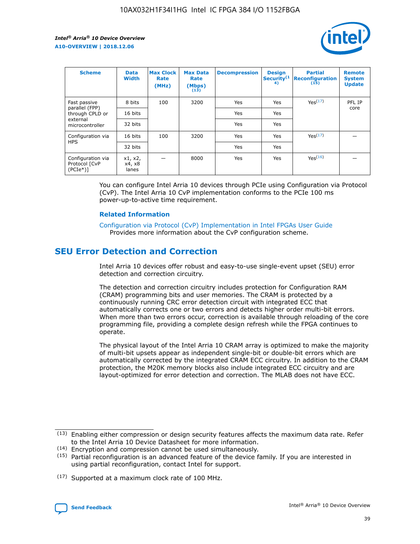

| <b>Scheme</b>                                   | <b>Data</b><br><b>Width</b> | <b>Max Clock</b><br>Rate<br>(MHz) | <b>Max Data</b><br>Rate<br>(Mbps)<br>(13) | <b>Decompression</b> | <b>Design</b><br>Security <sup>(1</sup><br>4) | <b>Partial</b><br><b>Reconfiguration</b><br>(15) | <b>Remote</b><br><b>System</b><br><b>Update</b> |
|-------------------------------------------------|-----------------------------|-----------------------------------|-------------------------------------------|----------------------|-----------------------------------------------|--------------------------------------------------|-------------------------------------------------|
| Fast passive                                    | 8 bits                      | 100                               | 3200                                      | Yes                  | Yes                                           | Yes(17)                                          | PFL IP                                          |
| parallel (FPP)<br>through CPLD or               | 16 bits                     |                                   |                                           | Yes                  | Yes                                           |                                                  | core                                            |
| external<br>microcontroller                     | 32 bits                     |                                   |                                           | Yes                  | Yes                                           |                                                  |                                                 |
| Configuration via                               | 16 bits                     | 100                               | 3200                                      | Yes                  | Yes                                           | Yes <sup>(17)</sup>                              |                                                 |
| <b>HPS</b>                                      | 32 bits                     |                                   |                                           | Yes                  | Yes                                           |                                                  |                                                 |
| Configuration via<br>Protocol [CvP<br>$(PCIe*)$ | x1, x2,<br>x4, x8<br>lanes  |                                   | 8000                                      | Yes                  | Yes                                           | Yes <sup>(16)</sup>                              |                                                 |

You can configure Intel Arria 10 devices through PCIe using Configuration via Protocol (CvP). The Intel Arria 10 CvP implementation conforms to the PCIe 100 ms power-up-to-active time requirement.

## **Related Information**

[Configuration via Protocol \(CvP\) Implementation in Intel FPGAs User Guide](https://www.intel.com/content/www/us/en/programmable/documentation/dsu1441819344145.html#dsu1442269728522) Provides more information about the CvP configuration scheme.

## **SEU Error Detection and Correction**

Intel Arria 10 devices offer robust and easy-to-use single-event upset (SEU) error detection and correction circuitry.

The detection and correction circuitry includes protection for Configuration RAM (CRAM) programming bits and user memories. The CRAM is protected by a continuously running CRC error detection circuit with integrated ECC that automatically corrects one or two errors and detects higher order multi-bit errors. When more than two errors occur, correction is available through reloading of the core programming file, providing a complete design refresh while the FPGA continues to operate.

The physical layout of the Intel Arria 10 CRAM array is optimized to make the majority of multi-bit upsets appear as independent single-bit or double-bit errors which are automatically corrected by the integrated CRAM ECC circuitry. In addition to the CRAM protection, the M20K memory blocks also include integrated ECC circuitry and are layout-optimized for error detection and correction. The MLAB does not have ECC.

(14) Encryption and compression cannot be used simultaneously.

<sup>(17)</sup> Supported at a maximum clock rate of 100 MHz.



 $(13)$  Enabling either compression or design security features affects the maximum data rate. Refer to the Intel Arria 10 Device Datasheet for more information.

 $(15)$  Partial reconfiguration is an advanced feature of the device family. If you are interested in using partial reconfiguration, contact Intel for support.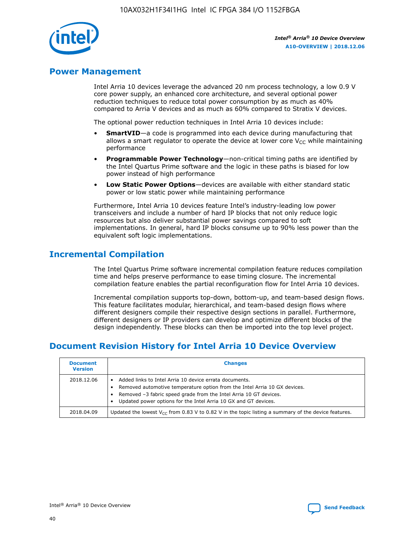

## **Power Management**

Intel Arria 10 devices leverage the advanced 20 nm process technology, a low 0.9 V core power supply, an enhanced core architecture, and several optional power reduction techniques to reduce total power consumption by as much as 40% compared to Arria V devices and as much as 60% compared to Stratix V devices.

The optional power reduction techniques in Intel Arria 10 devices include:

- **SmartVID**—a code is programmed into each device during manufacturing that allows a smart regulator to operate the device at lower core  $V_{CC}$  while maintaining performance
- **Programmable Power Technology**—non-critical timing paths are identified by the Intel Quartus Prime software and the logic in these paths is biased for low power instead of high performance
- **Low Static Power Options**—devices are available with either standard static power or low static power while maintaining performance

Furthermore, Intel Arria 10 devices feature Intel's industry-leading low power transceivers and include a number of hard IP blocks that not only reduce logic resources but also deliver substantial power savings compared to soft implementations. In general, hard IP blocks consume up to 90% less power than the equivalent soft logic implementations.

## **Incremental Compilation**

The Intel Quartus Prime software incremental compilation feature reduces compilation time and helps preserve performance to ease timing closure. The incremental compilation feature enables the partial reconfiguration flow for Intel Arria 10 devices.

Incremental compilation supports top-down, bottom-up, and team-based design flows. This feature facilitates modular, hierarchical, and team-based design flows where different designers compile their respective design sections in parallel. Furthermore, different designers or IP providers can develop and optimize different blocks of the design independently. These blocks can then be imported into the top level project.

## **Document Revision History for Intel Arria 10 Device Overview**

| <b>Document</b><br><b>Version</b> | <b>Changes</b>                                                                                                                                                                                                                                                              |
|-----------------------------------|-----------------------------------------------------------------------------------------------------------------------------------------------------------------------------------------------------------------------------------------------------------------------------|
| 2018.12.06                        | Added links to Intel Arria 10 device errata documents.<br>Removed automotive temperature option from the Intel Arria 10 GX devices.<br>Removed -3 fabric speed grade from the Intel Arria 10 GT devices.<br>Updated power options for the Intel Arria 10 GX and GT devices. |
| 2018.04.09                        | Updated the lowest $V_{CC}$ from 0.83 V to 0.82 V in the topic listing a summary of the device features.                                                                                                                                                                    |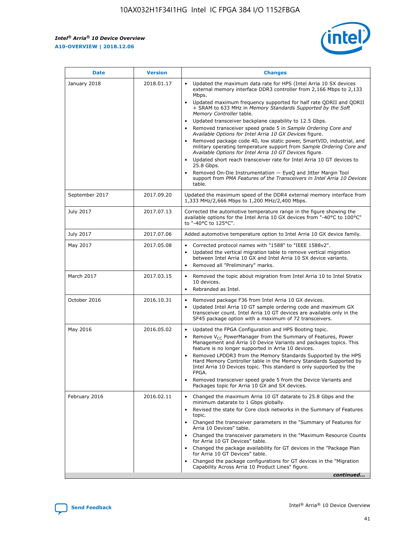*Intel® Arria® 10 Device Overview* **A10-OVERVIEW | 2018.12.06**



| <b>Date</b>    | <b>Version</b> | <b>Changes</b>                                                                                                                                                                                                                                                                                                                                                                                                                                                                                                                                                                                                                                                                                                                                                                                                                                                                                                                                                            |
|----------------|----------------|---------------------------------------------------------------------------------------------------------------------------------------------------------------------------------------------------------------------------------------------------------------------------------------------------------------------------------------------------------------------------------------------------------------------------------------------------------------------------------------------------------------------------------------------------------------------------------------------------------------------------------------------------------------------------------------------------------------------------------------------------------------------------------------------------------------------------------------------------------------------------------------------------------------------------------------------------------------------------|
| January 2018   | 2018.01.17     | Updated the maximum data rate for HPS (Intel Arria 10 SX devices<br>external memory interface DDR3 controller from 2,166 Mbps to 2,133<br>Mbps.<br>Updated maximum frequency supported for half rate QDRII and QDRII<br>+ SRAM to 633 MHz in Memory Standards Supported by the Soft<br>Memory Controller table.<br>Updated transceiver backplane capability to 12.5 Gbps.<br>$\bullet$<br>Removed transceiver speed grade 5 in Sample Ordering Core and<br>Available Options for Intel Arria 10 GX Devices figure.<br>Removed package code 40, low static power, SmartVID, industrial, and<br>military operating temperature support from Sample Ordering Core and<br>Available Options for Intel Arria 10 GT Devices figure.<br>Updated short reach transceiver rate for Intel Arria 10 GT devices to<br>25.8 Gbps.<br>Removed On-Die Instrumentation - EyeQ and Jitter Margin Tool<br>support from PMA Features of the Transceivers in Intel Arria 10 Devices<br>table. |
| September 2017 | 2017.09.20     | Updated the maximum speed of the DDR4 external memory interface from<br>1,333 MHz/2,666 Mbps to 1,200 MHz/2,400 Mbps.                                                                                                                                                                                                                                                                                                                                                                                                                                                                                                                                                                                                                                                                                                                                                                                                                                                     |
| July 2017      | 2017.07.13     | Corrected the automotive temperature range in the figure showing the<br>available options for the Intel Arria 10 GX devices from "-40°C to 100°C"<br>to "-40°C to 125°C".                                                                                                                                                                                                                                                                                                                                                                                                                                                                                                                                                                                                                                                                                                                                                                                                 |
| July 2017      | 2017.07.06     | Added automotive temperature option to Intel Arria 10 GX device family.                                                                                                                                                                                                                                                                                                                                                                                                                                                                                                                                                                                                                                                                                                                                                                                                                                                                                                   |
| May 2017       | 2017.05.08     | Corrected protocol names with "1588" to "IEEE 1588v2".<br>Updated the vertical migration table to remove vertical migration<br>between Intel Arria 10 GX and Intel Arria 10 SX device variants.<br>Removed all "Preliminary" marks.                                                                                                                                                                                                                                                                                                                                                                                                                                                                                                                                                                                                                                                                                                                                       |
| March 2017     | 2017.03.15     | Removed the topic about migration from Intel Arria 10 to Intel Stratix<br>10 devices.<br>Rebranded as Intel.<br>$\bullet$                                                                                                                                                                                                                                                                                                                                                                                                                                                                                                                                                                                                                                                                                                                                                                                                                                                 |
| October 2016   | 2016.10.31     | Removed package F36 from Intel Arria 10 GX devices.<br>Updated Intel Arria 10 GT sample ordering code and maximum GX<br>$\bullet$<br>transceiver count. Intel Arria 10 GT devices are available only in the<br>SF45 package option with a maximum of 72 transceivers.                                                                                                                                                                                                                                                                                                                                                                                                                                                                                                                                                                                                                                                                                                     |
| May 2016       | 2016.05.02     | Updated the FPGA Configuration and HPS Booting topic.<br>Remove V <sub>CC</sub> PowerManager from the Summary of Features, Power<br>Management and Arria 10 Device Variants and packages topics. This<br>feature is no longer supported in Arria 10 devices.<br>Removed LPDDR3 from the Memory Standards Supported by the HPS<br>Hard Memory Controller table in the Memory Standards Supported by<br>Intel Arria 10 Devices topic. This standard is only supported by the<br>FPGA.<br>Removed transceiver speed grade 5 from the Device Variants and<br>Packages topic for Arria 10 GX and SX devices.                                                                                                                                                                                                                                                                                                                                                                   |
| February 2016  | 2016.02.11     | Changed the maximum Arria 10 GT datarate to 25.8 Gbps and the<br>minimum datarate to 1 Gbps globally.<br>Revised the state for Core clock networks in the Summary of Features<br>$\bullet$<br>topic.<br>Changed the transceiver parameters in the "Summary of Features for<br>Arria 10 Devices" table.<br>• Changed the transceiver parameters in the "Maximum Resource Counts<br>for Arria 10 GT Devices" table.<br>• Changed the package availability for GT devices in the "Package Plan<br>for Arria 10 GT Devices" table.<br>Changed the package configurations for GT devices in the "Migration"<br>Capability Across Arria 10 Product Lines" figure.<br>continued                                                                                                                                                                                                                                                                                                  |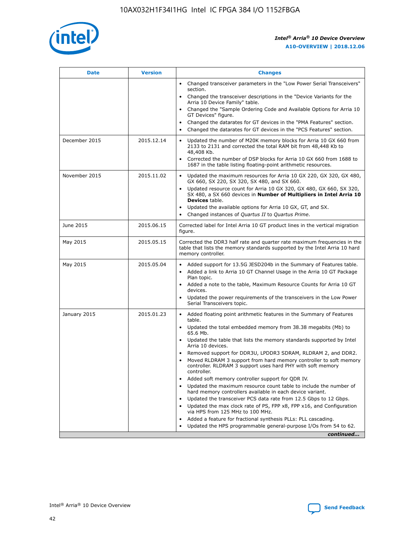

| <b>Date</b>   | <b>Version</b> | <b>Changes</b>                                                                                                                                                               |
|---------------|----------------|------------------------------------------------------------------------------------------------------------------------------------------------------------------------------|
|               |                | Changed transceiver parameters in the "Low Power Serial Transceivers"<br>$\bullet$<br>section.                                                                               |
|               |                | • Changed the transceiver descriptions in the "Device Variants for the<br>Arria 10 Device Family" table.                                                                     |
|               |                | • Changed the "Sample Ordering Code and Available Options for Arria 10<br>GT Devices" figure.                                                                                |
|               |                | Changed the datarates for GT devices in the "PMA Features" section.                                                                                                          |
|               |                | Changed the datarates for GT devices in the "PCS Features" section.<br>$\bullet$                                                                                             |
| December 2015 | 2015.12.14     | Updated the number of M20K memory blocks for Arria 10 GX 660 from<br>2133 to 2131 and corrected the total RAM bit from 48,448 Kb to<br>48,408 Kb.                            |
|               |                | Corrected the number of DSP blocks for Arria 10 GX 660 from 1688 to<br>$\bullet$<br>1687 in the table listing floating-point arithmetic resources.                           |
| November 2015 | 2015.11.02     | Updated the maximum resources for Arria 10 GX 220, GX 320, GX 480,<br>GX 660, SX 220, SX 320, SX 480, and SX 660.                                                            |
|               |                | Updated resource count for Arria 10 GX 320, GX 480, GX 660, SX 320,<br>SX 480, a SX 660 devices in Number of Multipliers in Intel Arria 10<br><b>Devices</b> table.          |
|               |                | Updated the available options for Arria 10 GX, GT, and SX.<br>$\bullet$                                                                                                      |
|               |                | Changed instances of Quartus II to Quartus Prime.<br>$\bullet$                                                                                                               |
| June 2015     | 2015.06.15     | Corrected label for Intel Arria 10 GT product lines in the vertical migration<br>figure.                                                                                     |
| May 2015      | 2015.05.15     | Corrected the DDR3 half rate and quarter rate maximum frequencies in the<br>table that lists the memory standards supported by the Intel Arria 10 hard<br>memory controller. |
| May 2015      | 2015.05.04     | • Added support for 13.5G JESD204b in the Summary of Features table.                                                                                                         |
|               |                | Added a link to Arria 10 GT Channel Usage in the Arria 10 GT Package<br>$\bullet$<br>Plan topic.                                                                             |
|               |                | • Added a note to the table, Maximum Resource Counts for Arria 10 GT<br>devices.                                                                                             |
|               |                | • Updated the power requirements of the transceivers in the Low Power<br>Serial Transceivers topic.                                                                          |
| January 2015  | 2015.01.23     | • Added floating point arithmetic features in the Summary of Features<br>table.                                                                                              |
|               |                | • Updated the total embedded memory from 38.38 megabits (Mb) to<br>65.6 Mb.                                                                                                  |
|               |                | • Updated the table that lists the memory standards supported by Intel<br>Arria 10 devices.                                                                                  |
|               |                | Removed support for DDR3U, LPDDR3 SDRAM, RLDRAM 2, and DDR2.                                                                                                                 |
|               |                | Moved RLDRAM 3 support from hard memory controller to soft memory<br>controller. RLDRAM 3 support uses hard PHY with soft memory<br>controller.                              |
|               |                | Added soft memory controller support for QDR IV.                                                                                                                             |
|               |                | Updated the maximum resource count table to include the number of<br>hard memory controllers available in each device variant.                                               |
|               |                | Updated the transceiver PCS data rate from 12.5 Gbps to 12 Gbps.                                                                                                             |
|               |                | Updated the max clock rate of PS, FPP x8, FPP x16, and Configuration<br>via HPS from 125 MHz to 100 MHz.                                                                     |
|               |                | Added a feature for fractional synthesis PLLs: PLL cascading.                                                                                                                |
|               |                | Updated the HPS programmable general-purpose I/Os from 54 to 62.<br>$\bullet$                                                                                                |
|               |                | continued                                                                                                                                                                    |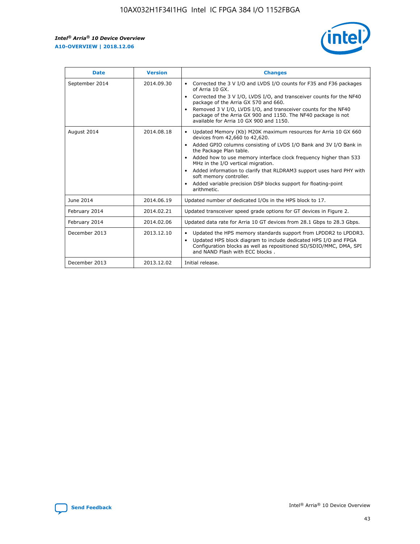r



| <b>Date</b>    | <b>Version</b> | <b>Changes</b>                                                                                                                                                                                                                                                                                                                                                                                                                                                                                                                                      |
|----------------|----------------|-----------------------------------------------------------------------------------------------------------------------------------------------------------------------------------------------------------------------------------------------------------------------------------------------------------------------------------------------------------------------------------------------------------------------------------------------------------------------------------------------------------------------------------------------------|
| September 2014 | 2014.09.30     | Corrected the 3 V I/O and LVDS I/O counts for F35 and F36 packages<br>$\bullet$<br>of Arria 10 GX.<br>Corrected the 3 V I/O, LVDS I/O, and transceiver counts for the NF40<br>$\bullet$<br>package of the Arria GX 570 and 660.<br>Removed 3 V I/O, LVDS I/O, and transceiver counts for the NF40<br>package of the Arria GX 900 and 1150. The NF40 package is not<br>available for Arria 10 GX 900 and 1150.                                                                                                                                       |
| August 2014    | 2014.08.18     | Updated Memory (Kb) M20K maximum resources for Arria 10 GX 660<br>devices from 42,660 to 42,620.<br>Added GPIO columns consisting of LVDS I/O Bank and 3V I/O Bank in<br>$\bullet$<br>the Package Plan table.<br>Added how to use memory interface clock frequency higher than 533<br>$\bullet$<br>MHz in the I/O vertical migration.<br>Added information to clarify that RLDRAM3 support uses hard PHY with<br>$\bullet$<br>soft memory controller.<br>Added variable precision DSP blocks support for floating-point<br>$\bullet$<br>arithmetic. |
| June 2014      | 2014.06.19     | Updated number of dedicated I/Os in the HPS block to 17.                                                                                                                                                                                                                                                                                                                                                                                                                                                                                            |
| February 2014  | 2014.02.21     | Updated transceiver speed grade options for GT devices in Figure 2.                                                                                                                                                                                                                                                                                                                                                                                                                                                                                 |
| February 2014  | 2014.02.06     | Updated data rate for Arria 10 GT devices from 28.1 Gbps to 28.3 Gbps.                                                                                                                                                                                                                                                                                                                                                                                                                                                                              |
| December 2013  | 2013.12.10     | Updated the HPS memory standards support from LPDDR2 to LPDDR3.<br>Updated HPS block diagram to include dedicated HPS I/O and FPGA<br>$\bullet$<br>Configuration blocks as well as repositioned SD/SDIO/MMC, DMA, SPI<br>and NAND Flash with ECC blocks.                                                                                                                                                                                                                                                                                            |
| December 2013  | 2013.12.02     | Initial release.                                                                                                                                                                                                                                                                                                                                                                                                                                                                                                                                    |